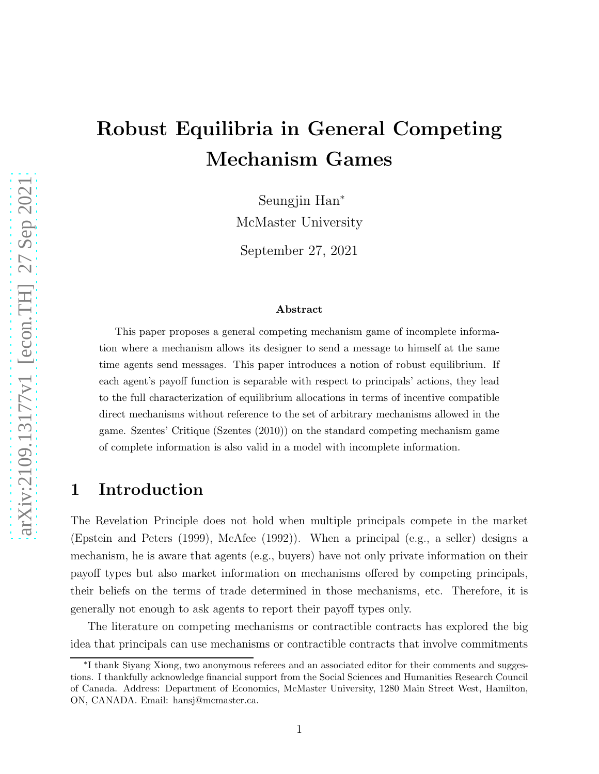# Robust Equilibria in General Competing Mechanism Games

Seungjin Han<sup>∗</sup> McMaster University

September 27, 2021

#### Abstract

This paper proposes a general competing mechanism game of incomplete information where a mechanism allows its designer to send a message to himself at the same time agents send messages. This paper introduces a notion of robust equilibrium. If each agent's payoff function is separable with respect to principals' actions, they lead to the full characterization of equilibrium allocations in terms of incentive compatible direct mechanisms without reference to the set of arbitrary mechanisms allowed in the game. Szentes' Critique (Szentes (2010)) on the standard competing mechanism game of complete information is also valid in a model with incomplete information.

## 1 Introduction

The Revelation Principle does not hold when multiple principals compete in the market (Epstein and Peters (1999), McAfee (1992)). When a principal (e.g., a seller) designs a mechanism, he is aware that agents (e.g., buyers) have not only private information on their payoff types but also market information on mechanisms offered by competing principals, their beliefs on the terms of trade determined in those mechanisms, etc. Therefore, it is generally not enough to ask agents to report their payoff types only.

The literature on competing mechanisms or contractible contracts has explored the big idea that principals can use mechanisms or contractible contracts that involve commitments

<sup>∗</sup> I thank Siyang Xiong, two anonymous referees and an associated editor for their comments and suggestions. I thankfully acknowledge financial support from the Social Sciences and Humanities Research Council of Canada. Address: Department of Economics, McMaster University, 1280 Main Street West, Hamilton, ON, CANADA. Email: hansj@mcmaster.ca.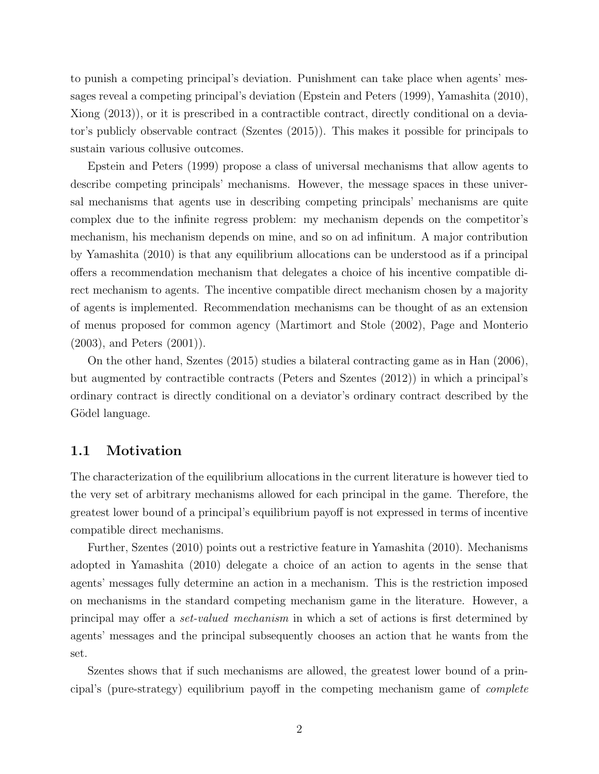to punish a competing principal's deviation. Punishment can take place when agents' messages reveal a competing principal's deviation (Epstein and Peters (1999), Yamashita (2010), Xiong (2013)), or it is prescribed in a contractible contract, directly conditional on a deviator's publicly observable contract (Szentes (2015)). This makes it possible for principals to sustain various collusive outcomes.

Epstein and Peters (1999) propose a class of universal mechanisms that allow agents to describe competing principals' mechanisms. However, the message spaces in these universal mechanisms that agents use in describing competing principals' mechanisms are quite complex due to the infinite regress problem: my mechanism depends on the competitor's mechanism, his mechanism depends on mine, and so on ad infinitum. A major contribution by Yamashita (2010) is that any equilibrium allocations can be understood as if a principal offers a recommendation mechanism that delegates a choice of his incentive compatible direct mechanism to agents. The incentive compatible direct mechanism chosen by a majority of agents is implemented. Recommendation mechanisms can be thought of as an extension of menus proposed for common agency (Martimort and Stole (2002), Page and Monterio (2003), and Peters (2001)).

On the other hand, Szentes (2015) studies a bilateral contracting game as in Han (2006), but augmented by contractible contracts (Peters and Szentes (2012)) in which a principal's ordinary contract is directly conditional on a deviator's ordinary contract described by the Gödel language.

#### 1.1 Motivation

The characterization of the equilibrium allocations in the current literature is however tied to the very set of arbitrary mechanisms allowed for each principal in the game. Therefore, the greatest lower bound of a principal's equilibrium payoff is not expressed in terms of incentive compatible direct mechanisms.

Further, Szentes (2010) points out a restrictive feature in Yamashita (2010). Mechanisms adopted in Yamashita (2010) delegate a choice of an action to agents in the sense that agents' messages fully determine an action in a mechanism. This is the restriction imposed on mechanisms in the standard competing mechanism game in the literature. However, a principal may offer a *set-valued mechanism* in which a set of actions is first determined by agents' messages and the principal subsequently chooses an action that he wants from the set.

Szentes shows that if such mechanisms are allowed, the greatest lower bound of a principal's (pure-strategy) equilibrium payoff in the competing mechanism game of *complete*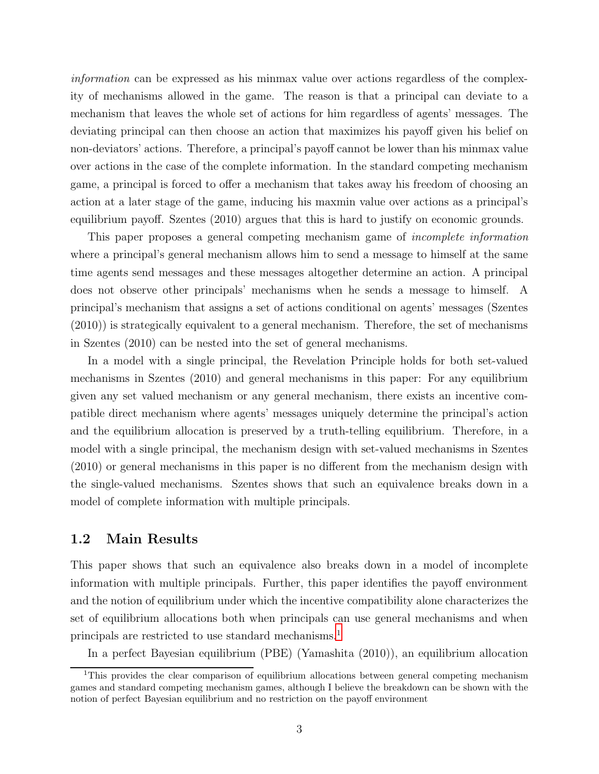*information* can be expressed as his minmax value over actions regardless of the complexity of mechanisms allowed in the game. The reason is that a principal can deviate to a mechanism that leaves the whole set of actions for him regardless of agents' messages. The deviating principal can then choose an action that maximizes his payoff given his belief on non-deviators' actions. Therefore, a principal's payoff cannot be lower than his minmax value over actions in the case of the complete information. In the standard competing mechanism game, a principal is forced to offer a mechanism that takes away his freedom of choosing an action at a later stage of the game, inducing his maxmin value over actions as a principal's equilibrium payoff. Szentes (2010) argues that this is hard to justify on economic grounds.

This paper proposes a general competing mechanism game of *incomplete information* where a principal's general mechanism allows him to send a message to himself at the same time agents send messages and these messages altogether determine an action. A principal does not observe other principals' mechanisms when he sends a message to himself. A principal's mechanism that assigns a set of actions conditional on agents' messages (Szentes (2010)) is strategically equivalent to a general mechanism. Therefore, the set of mechanisms in Szentes (2010) can be nested into the set of general mechanisms.

In a model with a single principal, the Revelation Principle holds for both set-valued mechanisms in Szentes (2010) and general mechanisms in this paper: For any equilibrium given any set valued mechanism or any general mechanism, there exists an incentive compatible direct mechanism where agents' messages uniquely determine the principal's action and the equilibrium allocation is preserved by a truth-telling equilibrium. Therefore, in a model with a single principal, the mechanism design with set-valued mechanisms in Szentes (2010) or general mechanisms in this paper is no different from the mechanism design with the single-valued mechanisms. Szentes shows that such an equivalence breaks down in a model of complete information with multiple principals.

#### 1.2 Main Results

This paper shows that such an equivalence also breaks down in a model of incomplete information with multiple principals. Further, this paper identifies the payoff environment and the notion of equilibrium under which the incentive compatibility alone characterizes the set of equilibrium allocations both when principals can use general mechanisms and when principals are restricted to use standard mechanisms.[1](#page-2-0)

In a perfect Bayesian equilibrium (PBE) (Yamashita (2010)), an equilibrium allocation

<span id="page-2-0"></span><sup>&</sup>lt;sup>1</sup>This provides the clear comparison of equilibrium allocations between general competing mechanism games and standard competing mechanism games, although I believe the breakdown can be shown with the notion of perfect Bayesian equilibrium and no restriction on the payoff environment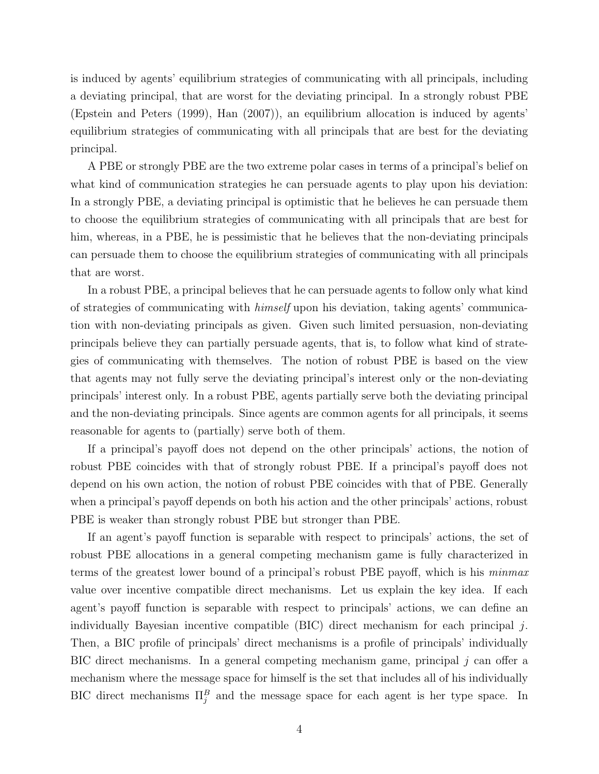is induced by agents' equilibrium strategies of communicating with all principals, including a deviating principal, that are worst for the deviating principal. In a strongly robust PBE (Epstein and Peters (1999), Han (2007)), an equilibrium allocation is induced by agents' equilibrium strategies of communicating with all principals that are best for the deviating principal.

A PBE or strongly PBE are the two extreme polar cases in terms of a principal's belief on what kind of communication strategies he can persuade agents to play upon his deviation: In a strongly PBE, a deviating principal is optimistic that he believes he can persuade them to choose the equilibrium strategies of communicating with all principals that are best for him, whereas, in a PBE, he is pessimistic that he believes that the non-deviating principals can persuade them to choose the equilibrium strategies of communicating with all principals that are worst.

In a robust PBE, a principal believes that he can persuade agents to follow only what kind of strategies of communicating with *himself* upon his deviation, taking agents' communication with non-deviating principals as given. Given such limited persuasion, non-deviating principals believe they can partially persuade agents, that is, to follow what kind of strategies of communicating with themselves. The notion of robust PBE is based on the view that agents may not fully serve the deviating principal's interest only or the non-deviating principals' interest only. In a robust PBE, agents partially serve both the deviating principal and the non-deviating principals. Since agents are common agents for all principals, it seems reasonable for agents to (partially) serve both of them.

If a principal's payoff does not depend on the other principals' actions, the notion of robust PBE coincides with that of strongly robust PBE. If a principal's payoff does not depend on his own action, the notion of robust PBE coincides with that of PBE. Generally when a principal's payoff depends on both his action and the other principals' actions, robust PBE is weaker than strongly robust PBE but stronger than PBE.

If an agent's payoff function is separable with respect to principals' actions, the set of robust PBE allocations in a general competing mechanism game is fully characterized in terms of the greatest lower bound of a principal's robust PBE payoff, which is his *minmax* value over incentive compatible direct mechanisms. Let us explain the key idea. If each agent's payoff function is separable with respect to principals' actions, we can define an individually Bayesian incentive compatible  $(BIC)$  direct mechanism for each principal j. Then, a BIC profile of principals' direct mechanisms is a profile of principals' individually BIC direct mechanisms. In a general competing mechanism game, principal  $j$  can offer a mechanism where the message space for himself is the set that includes all of his individually BIC direct mechanisms  $\Pi_j^B$  and the message space for each agent is her type space. In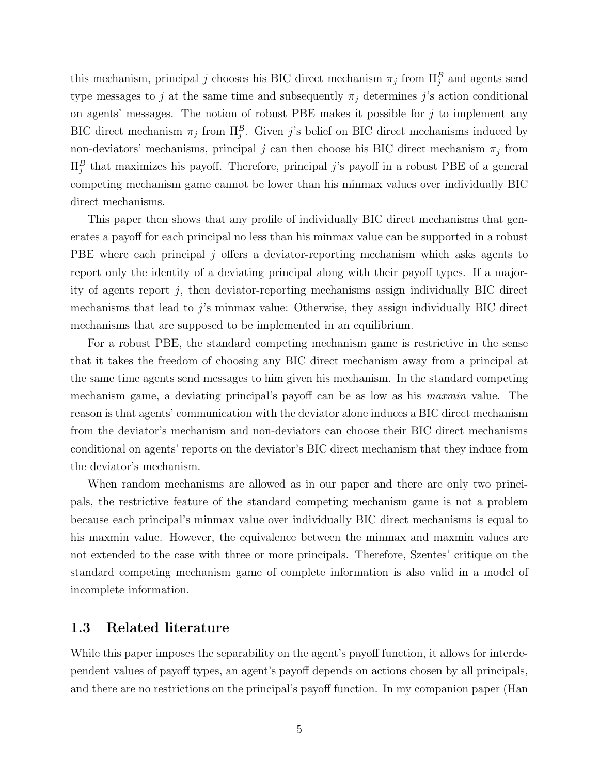this mechanism, principal j chooses his BIC direct mechanism  $\pi_j$  from  $\Pi_j^B$  and agents send type messages to j at the same time and subsequently  $\pi_j$  determines j's action conditional on agents' messages. The notion of robust PBE makes it possible for  $j$  to implement any BIC direct mechanism  $\pi_j$  from  $\Pi_j^B$ . Given j's belief on BIC direct mechanisms induced by non-deviators' mechanisms, principal  $j$  can then choose his BIC direct mechanism  $\pi_j$  from  $\Pi_j^B$  that maximizes his payoff. Therefore, principal j's payoff in a robust PBE of a general competing mechanism game cannot be lower than his minmax values over individually BIC direct mechanisms.

This paper then shows that any profile of individually BIC direct mechanisms that generates a payoff for each principal no less than his minmax value can be supported in a robust PBE where each principal j offers a deviator-reporting mechanism which asks agents to report only the identity of a deviating principal along with their payoff types. If a majority of agents report j, then deviator-reporting mechanisms assign individually BIC direct mechanisms that lead to j's minmax value: Otherwise, they assign individually BIC direct mechanisms that are supposed to be implemented in an equilibrium.

For a robust PBE, the standard competing mechanism game is restrictive in the sense that it takes the freedom of choosing any BIC direct mechanism away from a principal at the same time agents send messages to him given his mechanism. In the standard competing mechanism game, a deviating principal's payoff can be as low as his *maxmin* value. The reason is that agents' communication with the deviator alone induces a BIC direct mechanism from the deviator's mechanism and non-deviators can choose their BIC direct mechanisms conditional on agents' reports on the deviator's BIC direct mechanism that they induce from the deviator's mechanism.

When random mechanisms are allowed as in our paper and there are only two principals, the restrictive feature of the standard competing mechanism game is not a problem because each principal's minmax value over individually BIC direct mechanisms is equal to his maxmin value. However, the equivalence between the minmax and maxmin values are not extended to the case with three or more principals. Therefore, Szentes' critique on the standard competing mechanism game of complete information is also valid in a model of incomplete information.

#### 1.3 Related literature

While this paper imposes the separability on the agent's payoff function, it allows for interdependent values of payoff types, an agent's payoff depends on actions chosen by all principals, and there are no restrictions on the principal's payoff function. In my companion paper (Han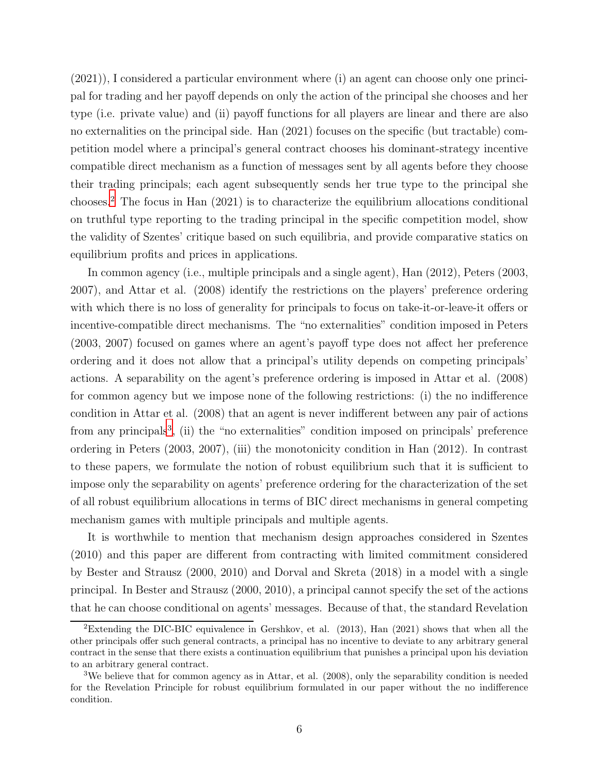(2021)), I considered a particular environment where (i) an agent can choose only one principal for trading and her payoff depends on only the action of the principal she chooses and her type (i.e. private value) and (ii) payoff functions for all players are linear and there are also no externalities on the principal side. Han (2021) focuses on the specific (but tractable) competition model where a principal's general contract chooses his dominant-strategy incentive compatible direct mechanism as a function of messages sent by all agents before they choose their trading principals; each agent subsequently sends her true type to the principal she chooses.[2](#page-5-0) The focus in Han (2021) is to characterize the equilibrium allocations conditional on truthful type reporting to the trading principal in the specific competition model, show the validity of Szentes' critique based on such equilibria, and provide comparative statics on equilibrium profits and prices in applications.

In common agency (i.e., multiple principals and a single agent), Han (2012), Peters (2003, 2007), and Attar et al. (2008) identify the restrictions on the players' preference ordering with which there is no loss of generality for principals to focus on take-it-or-leave-it offers or incentive-compatible direct mechanisms. The "no externalities" condition imposed in Peters (2003, 2007) focused on games where an agent's payoff type does not affect her preference ordering and it does not allow that a principal's utility depends on competing principals' actions. A separability on the agent's preference ordering is imposed in Attar et al. (2008) for common agency but we impose none of the following restrictions: (i) the no indifference condition in Attar et al. (2008) that an agent is never indifferent between any pair of actions from any principals<sup>[3](#page-5-1)</sup>, (ii) the "no externalities" condition imposed on principals' preference ordering in Peters (2003, 2007), (iii) the monotonicity condition in Han (2012). In contrast to these papers, we formulate the notion of robust equilibrium such that it is sufficient to impose only the separability on agents' preference ordering for the characterization of the set of all robust equilibrium allocations in terms of BIC direct mechanisms in general competing mechanism games with multiple principals and multiple agents.

It is worthwhile to mention that mechanism design approaches considered in Szentes (2010) and this paper are different from contracting with limited commitment considered by Bester and Strausz (2000, 2010) and Dorval and Skreta (2018) in a model with a single principal. In Bester and Strausz (2000, 2010), a principal cannot specify the set of the actions that he can choose conditional on agents' messages. Because of that, the standard Revelation

<span id="page-5-0"></span><sup>&</sup>lt;sup>2</sup>Extending the DIC-BIC equivalence in Gershkov, et al.  $(2013)$ , Han  $(2021)$  shows that when all the other principals offer such general contracts, a principal has no incentive to deviate to any arbitrary general contract in the sense that there exists a continuation equilibrium that punishes a principal upon his deviation to an arbitrary general contract.

<span id="page-5-1"></span><sup>3</sup>We believe that for common agency as in Attar, et al. (2008), only the separability condition is needed for the Revelation Principle for robust equilibrium formulated in our paper without the no indifference condition.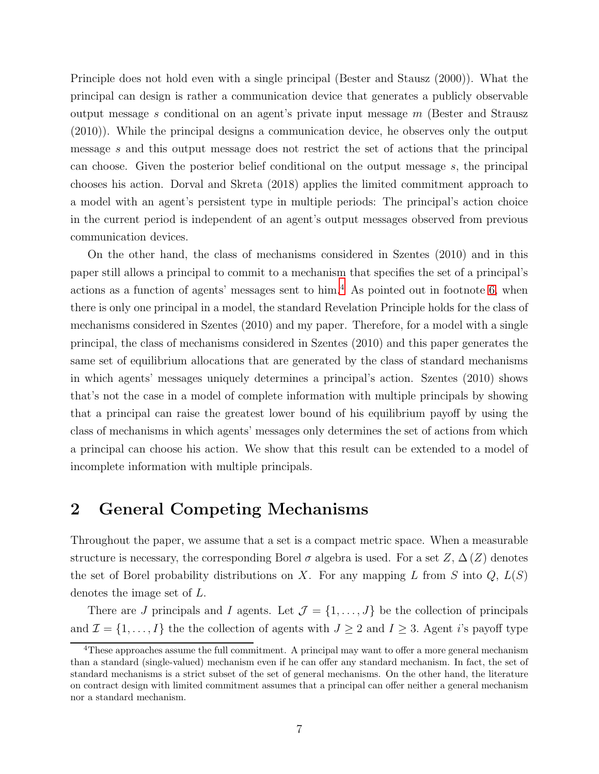Principle does not hold even with a single principal (Bester and Stausz (2000)). What the principal can design is rather a communication device that generates a publicly observable output message s conditional on an agent's private input message  $m$  (Bester and Strausz (2010)). While the principal designs a communication device, he observes only the output message s and this output message does not restrict the set of actions that the principal can choose. Given the posterior belief conditional on the output message s, the principal chooses his action. Dorval and Skreta (2018) applies the limited commitment approach to a model with an agent's persistent type in multiple periods: The principal's action choice in the current period is independent of an agent's output messages observed from previous communication devices.

On the other hand, the class of mechanisms considered in Szentes (2010) and in this paper still allows a principal to commit to a mechanism that specifies the set of a principal's actions as a function of agents' messages sent to  $\text{him.}^4$  $\text{him.}^4$ . As pointed out in footnote [6,](#page-10-0) when there is only one principal in a model, the standard Revelation Principle holds for the class of mechanisms considered in Szentes (2010) and my paper. Therefore, for a model with a single principal, the class of mechanisms considered in Szentes (2010) and this paper generates the same set of equilibrium allocations that are generated by the class of standard mechanisms in which agents' messages uniquely determines a principal's action. Szentes (2010) shows that's not the case in a model of complete information with multiple principals by showing that a principal can raise the greatest lower bound of his equilibrium payoff by using the class of mechanisms in which agents' messages only determines the set of actions from which a principal can choose his action. We show that this result can be extended to a model of incomplete information with multiple principals.

#### 2 General Competing Mechanisms

Throughout the paper, we assume that a set is a compact metric space. When a measurable structure is necessary, the corresponding Borel  $\sigma$  algebra is used. For a set  $Z, \Delta(Z)$  denotes the set of Borel probability distributions on X. For any mapping L from S into  $Q$ ,  $L(S)$ denotes the image set of L.

There are J principals and I agents. Let  $\mathcal{J} = \{1, \ldots, J\}$  be the collection of principals and  $\mathcal{I} = \{1, \ldots, I\}$  the the collection of agents with  $J \geq 2$  and  $I \geq 3$ . Agent *i*'s payoff type

<span id="page-6-0"></span> $4$ These approaches assume the full commitment. A principal may want to offer a more general mechanism than a standard (single-valued) mechanism even if he can offer any standard mechanism. In fact, the set of standard mechanisms is a strict subset of the set of general mechanisms. On the other hand, the literature on contract design with limited commitment assumes that a principal can offer neither a general mechanism nor a standard mechanism.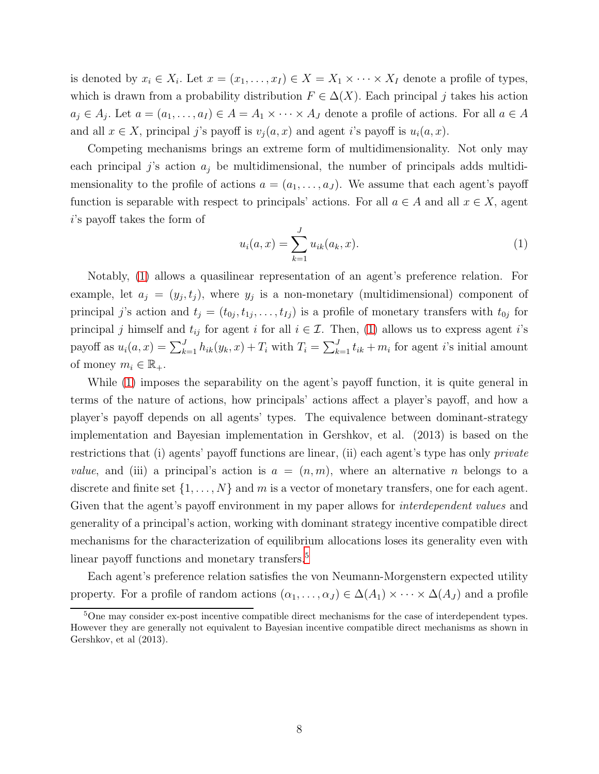is denoted by  $x_i \in X_i$ . Let  $x = (x_1, \ldots, x_I) \in X = X_1 \times \cdots \times X_I$  denote a profile of types, which is drawn from a probability distribution  $F \in \Delta(X)$ . Each principal j takes his action  $a_j \in A_j$ . Let  $a = (a_1, \ldots, a_I) \in A = A_1 \times \cdots \times A_J$  denote a profile of actions. For all  $a \in A$ and all  $x \in X$ , principal j's payoff is  $v_j(a, x)$  and agent i's payoff is  $u_i(a, x)$ .

Competing mechanisms brings an extreme form of multidimensionality. Not only may each principal  $j$ 's action  $a_j$  be multidimensional, the number of principals adds multidimensionality to the profile of actions  $a = (a_1, \ldots, a_J)$ . We assume that each agent's payoff function is separable with respect to principals' actions. For all  $a \in A$  and all  $x \in X$ , agent i's payoff takes the form of

<span id="page-7-0"></span>
$$
u_i(a,x) = \sum_{k=1}^{J} u_{ik}(a_k, x).
$$
 (1)

Notably, [\(1\)](#page-7-0) allows a quasilinear representation of an agent's preference relation. For example, let  $a_j = (y_j, t_j)$ , where  $y_j$  is a non-monetary (multidimensional) component of principal j's action and  $t_j = (t_{0j}, t_{1j}, \ldots, t_{Ij})$  is a profile of monetary transfers with  $t_{0j}$  for principal j himself and  $t_{ij}$  for agent i for all  $i \in \mathcal{I}$ . Then, [\(1\)](#page-7-0) allows us to express agent i's payoff as  $u_i(a, x) = \sum_{k=1}^J h_{ik}(y_k, x) + T_i$  with  $T_i = \sum_{k=1}^J t_{ik} + m_i$  for agent *i*'s initial amount of money  $m_i \in \mathbb{R}_+$ .

While [\(1\)](#page-7-0) imposes the separability on the agent's payoff function, it is quite general in terms of the nature of actions, how principals' actions affect a player's payoff, and how a player's payoff depends on all agents' types. The equivalence between dominant-strategy implementation and Bayesian implementation in Gershkov, et al. (2013) is based on the restrictions that (i) agents' payoff functions are linear, (ii) each agent's type has only *private value*, and (iii) a principal's action is  $a = (n, m)$ , where an alternative n belongs to a discrete and finite set  $\{1, \ldots, N\}$  and m is a vector of monetary transfers, one for each agent. Given that the agent's payoff environment in my paper allows for *interdependent values* and generality of a principal's action, working with dominant strategy incentive compatible direct mechanisms for the characterization of equilibrium allocations loses its generality even with linear payoff functions and monetary transfers.<sup>[5](#page-7-1)</sup>

Each agent's preference relation satisfies the von Neumann-Morgenstern expected utility property. For a profile of random actions  $(\alpha_1, \ldots, \alpha_J) \in \Delta(A_1) \times \cdots \times \Delta(A_J)$  and a profile

<span id="page-7-1"></span><sup>&</sup>lt;sup>5</sup>One may consider ex-post incentive compatible direct mechanisms for the case of interdependent types. However they are generally not equivalent to Bayesian incentive compatible direct mechanisms as shown in Gershkov, et al (2013).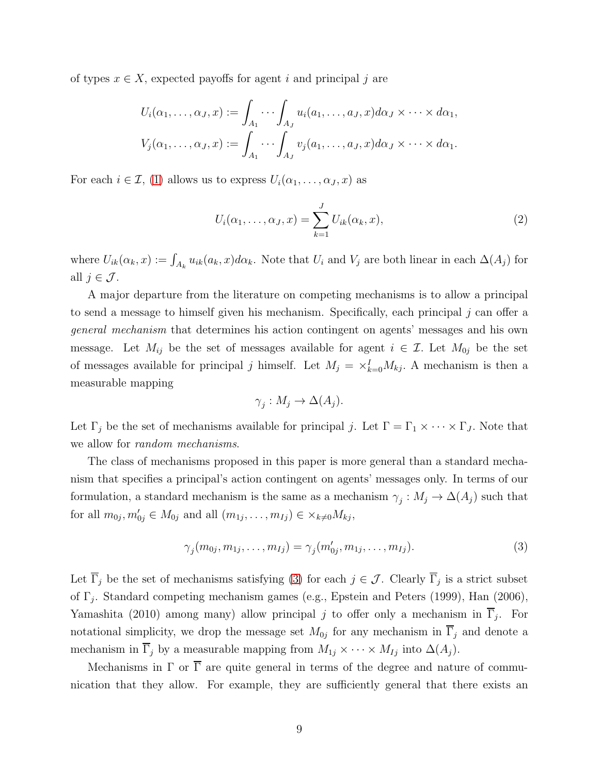of types  $x \in X$ , expected payoffs for agent i and principal j are

$$
U_i(\alpha_1,\ldots,\alpha_J,x) := \int_{A_1} \cdots \int_{A_J} u_i(a_1,\ldots,a_J,x) d\alpha_J \times \cdots \times d\alpha_1,
$$
  

$$
V_j(\alpha_1,\ldots,\alpha_J,x) := \int_{A_1} \cdots \int_{A_J} v_j(a_1,\ldots,a_J,x) d\alpha_J \times \cdots \times d\alpha_1.
$$

For each  $i \in \mathcal{I}$ , [\(1\)](#page-7-0) allows us to express  $U_i(\alpha_1, \ldots, \alpha_J, x)$  as

$$
U_i(\alpha_1,\ldots,\alpha_J,x) = \sum_{k=1}^J U_{ik}(\alpha_k,x),\tag{2}
$$

where  $U_{ik}(\alpha_k, x) := \int_{A_k} u_{ik}(a_k, x) d\alpha_k$ . Note that  $U_i$  and  $V_j$  are both linear in each  $\Delta(A_j)$  for all  $j \in \mathcal{J}$ .

A major departure from the literature on competing mechanisms is to allow a principal to send a message to himself given his mechanism. Specifically, each principal  $j$  can offer a *general mechanism* that determines his action contingent on agents' messages and his own message. Let  $M_{ij}$  be the set of messages available for agent  $i \in \mathcal{I}$ . Let  $M_{0j}$  be the set of messages available for principal j himself. Let  $M_j = \times_{k=0}^I M_{kj}$ . A mechanism is then a measurable mapping

$$
\gamma_j: M_j \to \Delta(A_j).
$$

Let  $\Gamma_j$  be the set of mechanisms available for principal j. Let  $\Gamma = \Gamma_1 \times \cdots \times \Gamma_J$ . Note that we allow for *random mechanisms*.

The class of mechanisms proposed in this paper is more general than a standard mechanism that specifies a principal's action contingent on agents' messages only. In terms of our formulation, a standard mechanism is the same as a mechanism  $\gamma_j: M_j \to \Delta(A_j)$  such that for all  $m_{0j}, m'_{0j} \in M_{0j}$  and all  $(m_{1j}, \ldots, m_{Ij}) \in \times_{k \neq 0} M_{kj}$ ,

<span id="page-8-0"></span>
$$
\gamma_j(m_{0j}, m_{1j}, \dots, m_{Ij}) = \gamma_j(m'_{0j}, m_{1j}, \dots, m_{Ij}). \tag{3}
$$

Let  $\Gamma_j$  be the set of mechanisms satisfying [\(3\)](#page-8-0) for each  $j \in \mathcal{J}$ . Clearly  $\Gamma_j$  is a strict subset of  $\Gamma_j$ . Standard competing mechanism games (e.g., Epstein and Peters (1999), Han (2006), Yamashita (2010) among many) allow principal j to offer only a mechanism in  $\Gamma_j$ . For notational simplicity, we drop the message set  $M_{0j}$  for any mechanism in  $\Gamma_j$  and denote a mechanism in  $\overline{\Gamma}_j$  by a measurable mapping from  $M_{1j} \times \cdots \times M_{Ij}$  into  $\Delta(A_j)$ .

Mechanisms in  $\Gamma$  or  $\overline{\Gamma}$  are quite general in terms of the degree and nature of communication that they allow. For example, they are sufficiently general that there exists an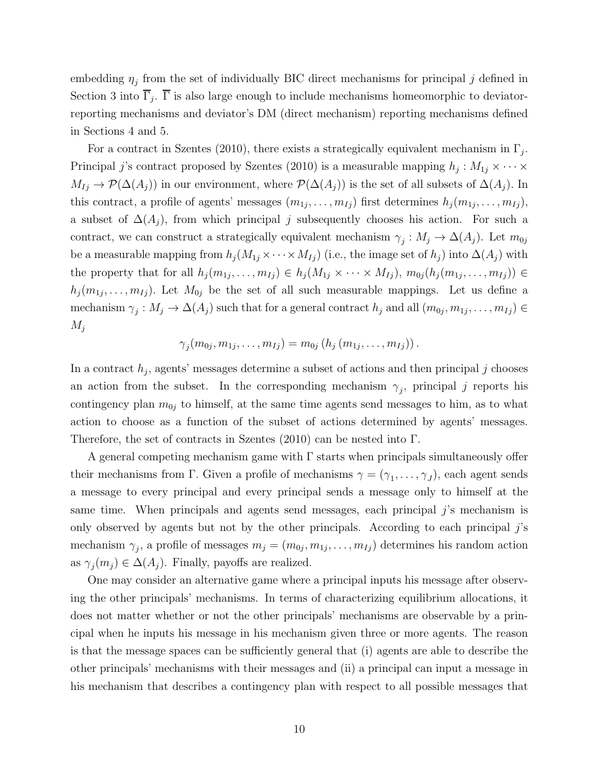embedding  $\eta_j$  from the set of individually BIC direct mechanisms for principal j defined in Section 3 into  $\Gamma_j$ .  $\Gamma$  is also large enough to include mechanisms homeomorphic to deviatorreporting mechanisms and deviator's DM (direct mechanism) reporting mechanisms defined in Sections 4 and 5.

For a contract in Szentes (2010), there exists a strategically equivalent mechanism in  $\Gamma_j$ . Principal j's contract proposed by Szentes (2010) is a measurable mapping  $h_j: M_{1j} \times \cdots \times$  $M_{Ij} \to \mathcal{P}(\Delta(A_j))$  in our environment, where  $\mathcal{P}(\Delta(A_j))$  is the set of all subsets of  $\Delta(A_j)$ . In this contract, a profile of agents' messages  $(m_{1j}, \ldots, m_{Ij})$  first determines  $h_j(m_{1j}, \ldots, m_{Ij}),$ a subset of  $\Delta(A_i)$ , from which principal j subsequently chooses his action. For such a contract, we can construct a strategically equivalent mechanism  $\gamma_j: M_j \to \Delta(A_j)$ . Let  $m_{0j}$ be a measurable mapping from  $h_j(M_{1j} \times \cdots \times M_{1j})$  (i.e., the image set of  $h_j$ ) into  $\Delta(A_j)$  with the property that for all  $h_j(m_{1j},\ldots,m_{Ij})\in h_j(M_{1j}\times\cdots\times M_{Ij}), m_{0j}(h_j(m_{1j},\ldots,m_{Ij}))\in$  $h_j(m_{1j},\ldots,m_{Ij})$ . Let  $M_{0j}$  be the set of all such measurable mappings. Let us define a mechanism  $\gamma_j: M_j \to \Delta(A_j)$  such that for a general contract  $h_j$  and all  $(m_{0j}, m_{1j}, \ldots, m_{Ij}) \in$  $M_i$ 

$$
\gamma_j(m_{0j}, m_{1j}, \ldots, m_{Ij}) = m_{0j} (h_j (m_{1j}, \ldots, m_{Ij})).
$$

In a contract  $h_j$ , agents' messages determine a subset of actions and then principal j chooses an action from the subset. In the corresponding mechanism  $\gamma_j$ , principal j reports his contingency plan  $m_{0j}$  to himself, at the same time agents send messages to him, as to what action to choose as a function of the subset of actions determined by agents' messages. Therefore, the set of contracts in Szentes (2010) can be nested into Γ.

A general competing mechanism game with  $\Gamma$  starts when principals simultaneously offer their mechanisms from Γ. Given a profile of mechanisms  $\gamma = (\gamma_1, \dots, \gamma_J)$ , each agent sends a message to every principal and every principal sends a message only to himself at the same time. When principals and agents send messages, each principal  $j$ 's mechanism is only observed by agents but not by the other principals. According to each principal  $j$ 's mechanism  $\gamma_j$ , a profile of messages  $m_j = (m_{0j}, m_{1j}, \ldots, m_{Ij})$  determines his random action as  $\gamma_j(m_j) \in \Delta(A_j)$ . Finally, payoffs are realized.

One may consider an alternative game where a principal inputs his message after observing the other principals' mechanisms. In terms of characterizing equilibrium allocations, it does not matter whether or not the other principals' mechanisms are observable by a principal when he inputs his message in his mechanism given three or more agents. The reason is that the message spaces can be sufficiently general that (i) agents are able to describe the other principals' mechanisms with their messages and (ii) a principal can input a message in his mechanism that describes a contingency plan with respect to all possible messages that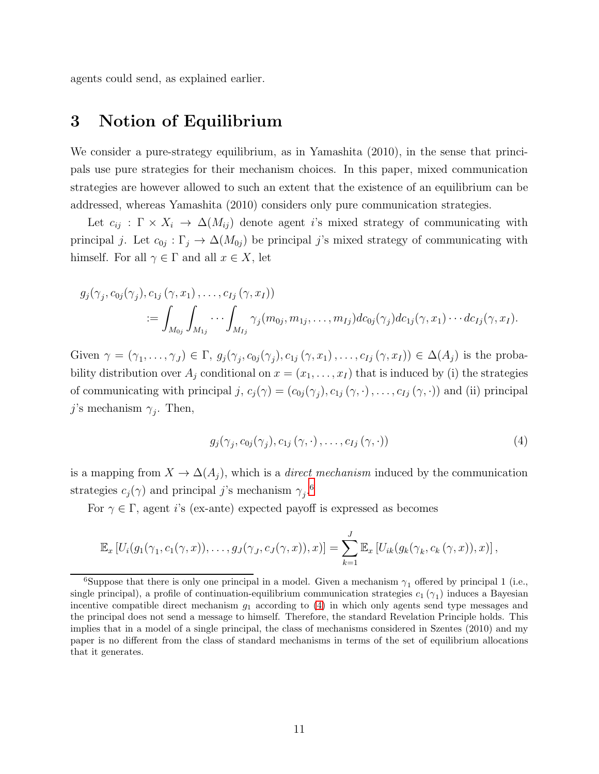agents could send, as explained earlier.

## 3 Notion of Equilibrium

We consider a pure-strategy equilibrium, as in Yamashita (2010), in the sense that principals use pure strategies for their mechanism choices. In this paper, mixed communication strategies are however allowed to such an extent that the existence of an equilibrium can be addressed, whereas Yamashita (2010) considers only pure communication strategies.

Let  $c_{ij}$ :  $\Gamma \times X_i \to \Delta(M_{ij})$  denote agent is mixed strategy of communicating with principal j. Let  $c_{0j} : \Gamma_j \to \Delta(M_{0j})$  be principal j's mixed strategy of communicating with himself. For all  $\gamma \in \Gamma$  and all  $x \in X$ , let

$$
g_j(\gamma_j, c_{0j}(\gamma_j), c_{1j}(\gamma, x_1), \dots, c_{Ij}(\gamma, x_I))
$$
  

$$
:= \int_{M_{0j}} \int_{M_{1j}} \cdots \int_{M_{Ij}} \gamma_j(m_{0j}, m_{1j}, \dots, m_{Ij}) dc_{0j}(\gamma_j) dc_{1j}(\gamma, x_1) \cdots dc_{Ij}(\gamma, x_I).
$$

Given  $\gamma = (\gamma_1, \ldots, \gamma_J) \in \Gamma$ ,  $g_j(\gamma_j, c_{0j}(\gamma_j), c_{1j}(\gamma, x_1), \ldots, c_{Ij}(\gamma, x_I)) \in \Delta(A_j)$  is the probability distribution over  $A_j$  conditional on  $x = (x_1, \ldots, x_I)$  that is induced by (i) the strategies of communicating with principal  $j, c_j(\gamma) = (c_{0j}(\gamma_j), c_{1j}(\gamma, \cdot), \dots, c_{Ij}(\gamma, \cdot))$  and (ii) principal j's mechanism  $\gamma_j$ . Then,

<span id="page-10-1"></span>
$$
g_j(\gamma_j, c_{0j}(\gamma_j), c_{1j}(\gamma, \cdot), \dots, c_{Ij}(\gamma, \cdot))
$$
\n
$$
(4)
$$

is a mapping from  $X \to \Delta(A_i)$ , which is a *direct mechanism* induced by the communication strategies  $c_j(\gamma)$  and principal j's mechanism  $\gamma_j$ .<sup>[6](#page-10-0)</sup>

For  $\gamma \in \Gamma$ , agent *i*'s (ex-ante) expected payoff is expressed as becomes

$$
\mathbb{E}_x\left[U_i(g_1(\gamma_1,c_1(\gamma,x)),\ldots,g_J(\gamma_J,c_J(\gamma,x)),x)\right]=\sum_{k=1}^J\mathbb{E}_x\left[U_{ik}(g_k(\gamma_k,c_k(\gamma,x)),x)\right],
$$

<span id="page-10-0"></span><sup>&</sup>lt;sup>6</sup>Suppose that there is only one principal in a model. Given a mechanism  $\gamma_1$  offered by principal 1 (i.e., single principal), a profile of continuation-equilibrium communication strategies  $c_1(\gamma_1)$  induces a Bayesian incentive compatible direct mechanism  $g_1$  according to [\(4\)](#page-10-1) in which only agents send type messages and the principal does not send a message to himself. Therefore, the standard Revelation Principle holds. This implies that in a model of a single principal, the class of mechanisms considered in Szentes (2010) and my paper is no different from the class of standard mechanisms in terms of the set of equilibrium allocations that it generates.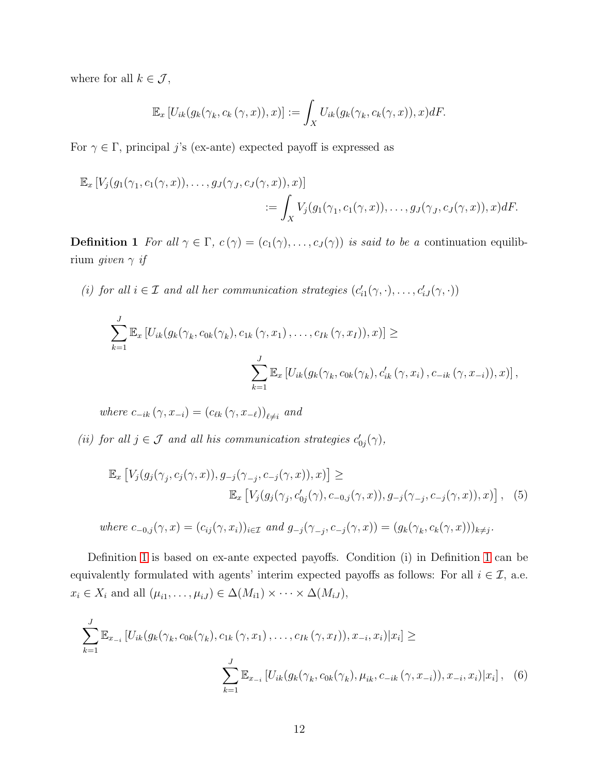where for all  $k \in \mathcal{J}$ ,

$$
\mathbb{E}_x \left[ U_{ik}(g_k(\gamma_k, c_k(\gamma, x)), x) \right] := \int_X U_{ik}(g_k(\gamma_k, c_k(\gamma, x)), x) dF.
$$

For  $\gamma \in \Gamma$ , principal j's (ex-ante) expected payoff is expressed as

$$
\mathbb{E}_x \left[ V_j(g_1(\gamma_1, c_1(\gamma, x)), \dots, g_J(\gamma_J, c_J(\gamma, x)), x) \right]
$$
  
 := 
$$
\int_X V_j(g_1(\gamma_1, c_1(\gamma, x)), \dots, g_J(\gamma_J, c_J(\gamma, x)), x) dF.
$$

<span id="page-11-0"></span>**Definition 1** *For all*  $\gamma \in \Gamma$ ,  $c(\gamma) = (c_1(\gamma), \ldots, c_J(\gamma))$  *is said to be a* continuation equilibrium *given* γ *if*

(*i*) for all  $i \in \mathcal{I}$  and all her communication strategies  $(c'_{i1}(\gamma, \cdot), \ldots, c'_{iJ}(\gamma, \cdot))$ 

$$
\sum_{k=1}^{J} \mathbb{E}_{x} \left[ U_{ik}(g_{k}(\gamma_{k}, c_{0k}(\gamma_{k}), c_{1k}(\gamma, x_{1}), \dots, c_{Ik}(\gamma, x_{I})), x) \right] \geq
$$
\n
$$
\sum_{k=1}^{J} \mathbb{E}_{x} \left[ U_{ik}(g_{k}(\gamma_{k}, c_{0k}(\gamma_{k}), c'_{ik}(\gamma, x_{i}), c_{-ik}(\gamma, x_{-i})), x) \right],
$$

 $where \ c_{-ik}(\gamma, x_{-i}) = (c_{\ell k}(\gamma, x_{-\ell}))_{\ell \neq i}$  and

(*ii*) for all  $j \in \mathcal{J}$  and all his communication strategies  $c'_{0j}(\gamma)$ ,

$$
\mathbb{E}_x \left[ V_j(g_j(\gamma_j, c_j(\gamma, x)), g_{-j}(\gamma_{-j}, c_{-j}(\gamma, x)), x) \right] \ge
$$
  

$$
\mathbb{E}_x \left[ V_j(g_j(\gamma_j, c'_{0j}(\gamma), c_{-0,j}(\gamma, x)), g_{-j}(\gamma_{-j}, c_{-j}(\gamma, x)), x) \right], (5)
$$

where 
$$
c_{-0,j}(\gamma, x) = (c_{ij}(\gamma, x_i))_{i \in \mathcal{I}}
$$
 and  $g_{-j}(\gamma_{-j}, c_{-j}(\gamma, x)) = (g_k(\gamma_k, c_k(\gamma, x)))_{k \neq j}$ .

Definition [1](#page-11-0) is based on ex-ante expected payoffs. Condition (i) in Definition [1](#page-11-0) can be equivalently formulated with agents' interim expected payoffs as follows: For all  $i \in \mathcal{I}$ , a.e.  $x_i \in X_i$  and all  $(\mu_{i1}, \ldots, \mu_{iJ}) \in \Delta(M_{i1}) \times \cdots \times \Delta(M_{iJ}),$ 

$$
\sum_{k=1}^{J} \mathbb{E}_{x_{-i}} \left[ U_{ik}(g_k(\gamma_k, c_{0k}(\gamma_k), c_{1k}(\gamma, x_1), \dots, c_{Ik}(\gamma, x_I)), x_{-i}, x_i) | x_i \right] \ge
$$
\n
$$
\sum_{k=1}^{J} \mathbb{E}_{x_{-i}} \left[ U_{ik}(g_k(\gamma_k, c_{0k}(\gamma_k), \mu_{ik}, c_{-ik}(\gamma, x_{-i})), x_{-i}, x_i) | x_i \right], \quad (6)
$$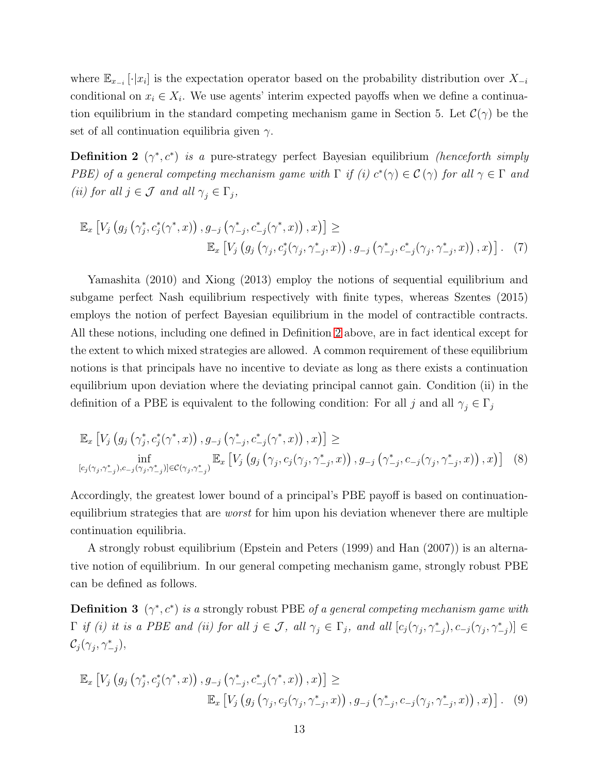where  $\mathbb{E}_{x_{-i}}[\cdot|x_i]$  is the expectation operator based on the probability distribution over  $X_{-i}$ conditional on  $x_i \in X_i$ . We use agents' interim expected payoffs when we define a continuation equilibrium in the standard competing mechanism game in Section 5. Let  $\mathcal{C}(\gamma)$  be the set of all continuation equilibria given  $\gamma$ .

<span id="page-12-0"></span>**Definition 2**  $(\gamma^*, c^*)$  *is a* pure-strategy perfect Bayesian equilibrium *(henceforth simply PBE)* of a general competing mechanism game with  $\Gamma$  if (i)  $c^*(\gamma) \in C(\gamma)$  for all  $\gamma \in \Gamma$  and *(ii)* for all  $j \in \mathcal{J}$  and all  $\gamma_j \in \Gamma_j$ ,

$$
\mathbb{E}_{x} \left[ V_{j} \left( g_{j} \left( \gamma_{j}^{*}, c_{j}^{*}(\gamma^{*}, x) \right), g_{-j} \left( \gamma_{-j}^{*}, c_{-j}^{*}(\gamma^{*}, x) \right), x \right) \right] \geq
$$
\n
$$
\mathbb{E}_{x} \left[ V_{j} \left( g_{j} \left( \gamma_{j}, c_{j}^{*}(\gamma_{j}, \gamma_{-j}^{*}, x) \right), g_{-j} \left( \gamma_{-j}^{*}, c_{-j}^{*}(\gamma_{j}, \gamma_{-j}^{*}, x) \right), x \right) \right]. \tag{7}
$$

Yamashita (2010) and Xiong (2013) employ the notions of sequential equilibrium and subgame perfect Nash equilibrium respectively with finite types, whereas Szentes (2015) employs the notion of perfect Bayesian equilibrium in the model of contractible contracts. All these notions, including one defined in Definition [2](#page-12-0) above, are in fact identical except for the extent to which mixed strategies are allowed. A common requirement of these equilibrium notions is that principals have no incentive to deviate as long as there exists a continuation equilibrium upon deviation where the deviating principal cannot gain. Condition (ii) in the definition of a PBE is equivalent to the following condition: For all j and all  $\gamma_i \in \Gamma_i$ 

$$
\mathbb{E}_{x}\left[V_{j}\left(g_{j}\left(\gamma_{j}^{*},c_{j}^{*}(\gamma^{*},x)\right),g_{-j}\left(\gamma_{-j}^{*},c_{-j}^{*}(\gamma^{*},x)\right),x\right)\right]\geq\inf_{[c_{j}(\gamma_{j},\gamma_{-j}^{*}),c_{-j}(\gamma_{j},\gamma_{-j}^{*})]\in\mathcal{C}(\gamma_{j},\gamma_{-j}^{*})}\mathbb{E}_{x}\left[V_{j}\left(g_{j}\left(\gamma_{j},c_{j}(\gamma_{j},\gamma_{-j}^{*},x)\right),g_{-j}\left(\gamma_{-j}^{*},c_{-j}(\gamma_{j},\gamma_{-j}^{*},x)\right),x\right)\right]\quad(8)
$$

Accordingly, the greatest lower bound of a principal's PBE payoff is based on continuationequilibrium strategies that are *worst* for him upon his deviation whenever there are multiple continuation equilibria.

A strongly robust equilibrium (Epstein and Peters (1999) and Han (2007)) is an alternative notion of equilibrium. In our general competing mechanism game, strongly robust PBE can be defined as follows.

<span id="page-12-1"></span>**Definition 3**  $(\gamma^*, c^*)$  *is a* strongly robust PBE *of a general competing mechanism game with*  $\Gamma$  *if (i) it is a PBE and (ii) for all*  $j \in \mathcal{J}$ , all  $\gamma_j \in \Gamma_j$ , and all  $[c_j(\gamma_j, \gamma_{-j}^*), c_{-j}(\gamma_j, \gamma_{-j}^*)] \in$  $\mathcal{C}_j(\gamma_j, \gamma_{-j}^*),$ 

$$
\mathbb{E}_{x} \left[ V_{j} \left( g_{j} \left( \gamma_{j}^{*}, c_{j}^{*}(\gamma^{*}, x) \right), g_{-j} \left( \gamma_{-j}^{*}, c_{-j}^{*}(\gamma^{*}, x) \right), x \right) \right] \geq
$$
\n
$$
\mathbb{E}_{x} \left[ V_{j} \left( g_{j} \left( \gamma_{j}, c_{j}(\gamma_{j}, \gamma_{-j}^{*}, x) \right), g_{-j} \left( \gamma_{-j}^{*}, c_{-j}(\gamma_{j}, \gamma_{-j}^{*}, x) \right), x \right) \right]. \tag{9}
$$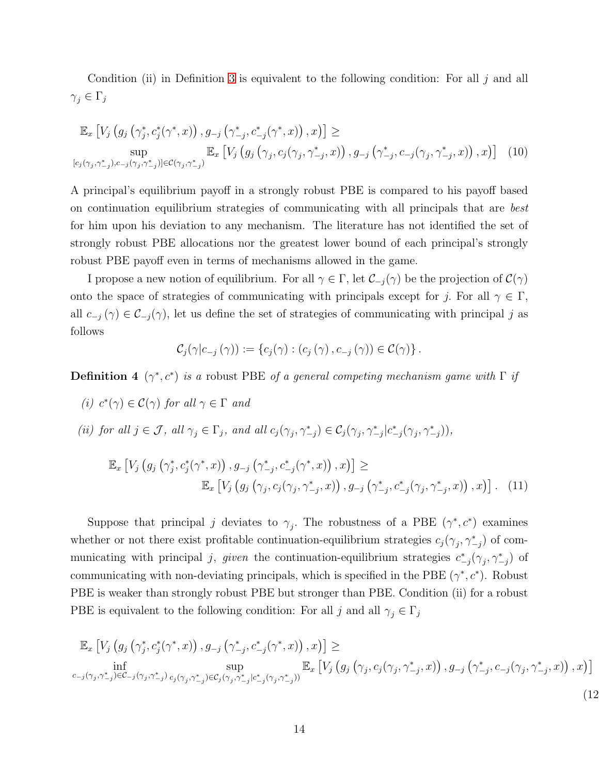Condition (ii) in Definition [3](#page-12-1) is equivalent to the following condition: For all  $j$  and all  $\gamma_j\in \Gamma_j$ 

$$
\mathbb{E}_{x}\left[V_{j}\left(g_{j}\left(\gamma_{j}^{*},c_{j}^{*}(\gamma^{*},x)\right),g_{-j}\left(\gamma_{-j}^{*},c_{-j}^{*}(\gamma^{*},x)\right),x\right)\right]\geq
$$
\n
$$
\sup_{[c_{j}(\gamma_{j},\gamma_{-j}^{*}),c_{-j}(\gamma_{j},\gamma_{-j}^{*})]\in\mathcal{C}(\gamma_{j},\gamma_{-j}^{*})}\mathbb{E}_{x}\left[V_{j}\left(g_{j}\left(\gamma_{j},c_{j}(\gamma_{j},\gamma_{-j}^{*},x)\right),g_{-j}\left(\gamma_{-j}^{*},c_{-j}(\gamma_{j},\gamma_{-j}^{*},x)\right),x\right)\right]\quad(10)
$$

A principal's equilibrium payoff in a strongly robust PBE is compared to his payoff based on continuation equilibrium strategies of communicating with all principals that are *best* for him upon his deviation to any mechanism. The literature has not identified the set of strongly robust PBE allocations nor the greatest lower bound of each principal's strongly robust PBE payoff even in terms of mechanisms allowed in the game.

I propose a new notion of equilibrium. For all  $\gamma \in \Gamma$ , let  $\mathcal{C}_{-i}(\gamma)$  be the projection of  $\mathcal{C}(\gamma)$ onto the space of strategies of communicating with principals except for j. For all  $\gamma \in \Gamma$ , all  $c_{-j}(\gamma) \in \mathcal{C}_{-j}(\gamma)$ , let us define the set of strategies of communicating with principal j as follows

<span id="page-13-0"></span>
$$
\mathcal{C}_{j}(\gamma|c_{-j}(\gamma)) := \{c_{j}(\gamma) : (c_{j}(\gamma), c_{-j}(\gamma)) \in \mathcal{C}(\gamma)\}.
$$

**Definition 4**  $(\gamma^*, c^*)$  *is a* robust PBE *of a general competing mechanism game with*  $\Gamma$  *if* 

- *(i)*  $c^*(\gamma) \in \mathcal{C}(\gamma)$  *for all*  $\gamma \in \Gamma$  *and*
- (*ii*) for all  $j \in \mathcal{J}$ , all  $\gamma_j \in \Gamma_j$ , and all  $c_j(\gamma_j, \gamma_{-j}^*) \in C_j(\gamma_j, \gamma_{-j}^* | c_{-j}^*(\gamma_j, \gamma_{-j}^*)),$

$$
\mathbb{E}_{x} \left[ V_{j} \left( g_{j} \left( \gamma_{j}^{*}, c_{j}^{*}(\gamma^{*}, x) \right), g_{-j} \left( \gamma_{-j}^{*}, c_{-j}^{*}(\gamma^{*}, x) \right), x \right) \right] \geq
$$
\n
$$
\mathbb{E}_{x} \left[ V_{j} \left( g_{j} \left( \gamma_{j}, c_{j}(\gamma_{j}, \gamma_{-j}^{*}, x) \right), g_{-j} \left( \gamma_{-j}^{*}, c_{-j}^{*}(\gamma_{j}, \gamma_{-j}^{*}, x) \right), x \right) \right]. \tag{11}
$$

Suppose that principal j deviates to  $\gamma_j$ . The robustness of a PBE  $(\gamma^*, c^*)$  examines whether or not there exist profitable continuation-equilibrium strategies  $c_j(\gamma_j, \gamma_{-j}^*)$  of communicating with principal j, given the continuation-equilibrium strategies  $c^*_{-j}(\gamma_j, \gamma^*_{-j})$  of communicating with non-deviating principals, which is specified in the PBE  $(\gamma^*, c^*)$ . Robust PBE is weaker than strongly robust PBE but stronger than PBE. Condition (ii) for a robust PBE is equivalent to the following condition: For all j and all  $\gamma_j \in \Gamma_j$ 

$$
\mathbb{E}_{x}\left[V_{j}\left(g_{j}\left(\gamma_{j}^{*},c_{j}^{*}(\gamma^{*},x)\right),g_{-j}\left(\gamma_{-j}^{*},c_{-j}^{*}(\gamma^{*},x)\right),x\right)\right]\ge
$$
\n
$$
\inf_{c_{-j}(\gamma_{j},\gamma_{-j}^{*})\in\mathcal{C}_{-j}(\gamma_{j},\gamma_{-j}^{*})}\sup_{c_{j}(\gamma_{j},\gamma_{-j}^{*})\in\mathcal{C}_{j}(\gamma_{j},\gamma_{-j}^{*})} \mathbb{E}_{x}\left[V_{j}\left(g_{j}\left(\gamma_{j},c_{j}(\gamma_{j},\gamma_{-j}^{*},x)\right),g_{-j}\left(\gamma_{-j}^{*},c_{-j}(\gamma_{j},\gamma_{-j}^{*},x)\right),x\right)\right]
$$
\n
$$
(12)
$$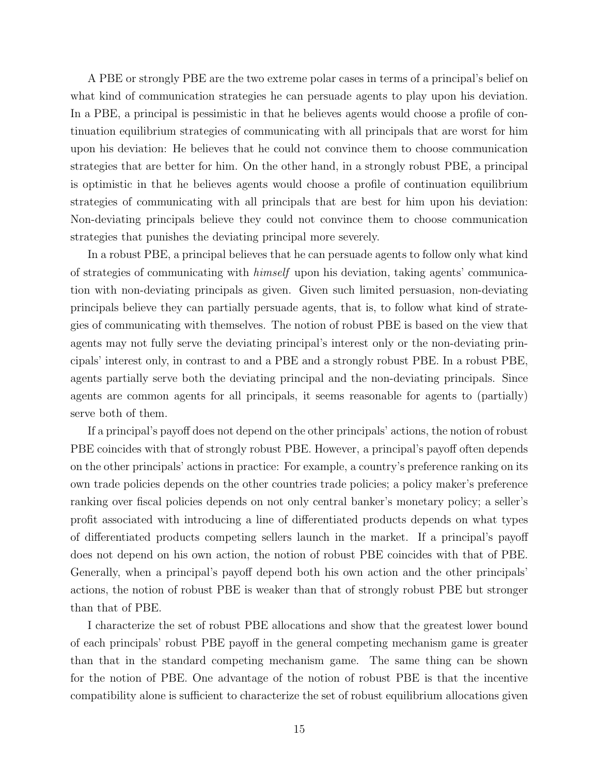A PBE or strongly PBE are the two extreme polar cases in terms of a principal's belief on what kind of communication strategies he can persuade agents to play upon his deviation. In a PBE, a principal is pessimistic in that he believes agents would choose a profile of continuation equilibrium strategies of communicating with all principals that are worst for him upon his deviation: He believes that he could not convince them to choose communication strategies that are better for him. On the other hand, in a strongly robust PBE, a principal is optimistic in that he believes agents would choose a profile of continuation equilibrium strategies of communicating with all principals that are best for him upon his deviation: Non-deviating principals believe they could not convince them to choose communication strategies that punishes the deviating principal more severely.

In a robust PBE, a principal believes that he can persuade agents to follow only what kind of strategies of communicating with *himself* upon his deviation, taking agents' communication with non-deviating principals as given. Given such limited persuasion, non-deviating principals believe they can partially persuade agents, that is, to follow what kind of strategies of communicating with themselves. The notion of robust PBE is based on the view that agents may not fully serve the deviating principal's interest only or the non-deviating principals' interest only, in contrast to and a PBE and a strongly robust PBE. In a robust PBE, agents partially serve both the deviating principal and the non-deviating principals. Since agents are common agents for all principals, it seems reasonable for agents to (partially) serve both of them.

If a principal's payoff does not depend on the other principals' actions, the notion of robust PBE coincides with that of strongly robust PBE. However, a principal's payoff often depends on the other principals' actions in practice: For example, a country's preference ranking on its own trade policies depends on the other countries trade policies; a policy maker's preference ranking over fiscal policies depends on not only central banker's monetary policy; a seller's profit associated with introducing a line of differentiated products depends on what types of differentiated products competing sellers launch in the market. If a principal's payoff does not depend on his own action, the notion of robust PBE coincides with that of PBE. Generally, when a principal's payoff depend both his own action and the other principals' actions, the notion of robust PBE is weaker than that of strongly robust PBE but stronger than that of PBE.

I characterize the set of robust PBE allocations and show that the greatest lower bound of each principals' robust PBE payoff in the general competing mechanism game is greater than that in the standard competing mechanism game. The same thing can be shown for the notion of PBE. One advantage of the notion of robust PBE is that the incentive compatibility alone is sufficient to characterize the set of robust equilibrium allocations given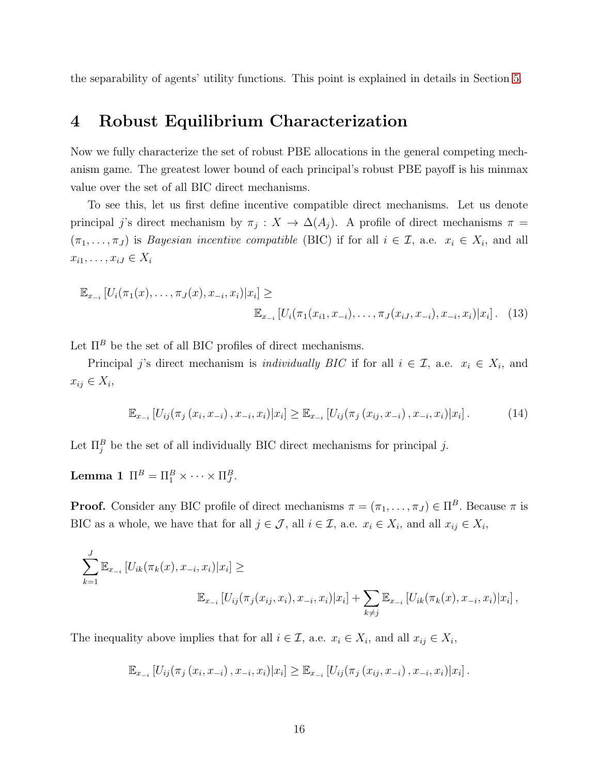the separability of agents' utility functions. This point is explained in details in Section [5.](#page-23-0)

## 4 Robust Equilibrium Characterization

Now we fully characterize the set of robust PBE allocations in the general competing mechanism game. The greatest lower bound of each principal's robust PBE payoff is his minmax value over the set of all BIC direct mechanisms.

To see this, let us first define incentive compatible direct mechanisms. Let us denote principal j's direct mechanism by  $\pi_j: X \to \Delta(A_j)$ . A profile of direct mechanisms  $\pi =$  $(\pi_1, \ldots, \pi_J)$  is *Bayesian incentive compatible* (BIC) if for all  $i \in \mathcal{I}$ , a.e.  $x_i \in X_i$ , and all  $x_{i1}, \ldots, x_{iJ} \in X_i$ 

$$
\mathbb{E}_{x_{-i}}\left[U_i(\pi_1(x),\ldots,\pi_J(x),x_{-i},x_i)|x_i\right] \ge
$$
  

$$
\mathbb{E}_{x_{-i}}\left[U_i(\pi_1(x_{i1},x_{-i}),\ldots,\pi_J(x_{iJ},x_{-i}),x_{-i},x_i)|x_i\right].
$$
 (13)

Let  $\Pi^B$  be the set of all BIC profiles of direct mechanisms.

Principal j's direct mechanism is *individually BIC* if for all  $i \in \mathcal{I}$ , a.e.  $x_i \in X_i$ , and  $x_{ij} \in X_i$ 

<span id="page-15-1"></span>
$$
\mathbb{E}_{x_{-i}}\left[U_{ij}(\pi_j(x_i, x_{-i}), x_{-i}, x_i)|x_i\right] \geq \mathbb{E}_{x_{-i}}\left[U_{ij}(\pi_j(x_{ij}, x_{-i}), x_{-i}, x_i)|x_i\right].\tag{14}
$$

<span id="page-15-0"></span>Let  $\Pi_j^B$  be the set of all individually BIC direct mechanisms for principal j.

Lemma 1  $\Pi^B = \Pi^B_1 \times \cdots \times \Pi^B_J$ .

**Proof.** Consider any BIC profile of direct mechanisms  $\pi = (\pi_1, \dots, \pi_J) \in \Pi^B$ . Because  $\pi$  is BIC as a whole, we have that for all  $j \in \mathcal{J}$ , all  $i \in \mathcal{I}$ , a.e.  $x_i \in X_i$ , and all  $x_{ij} \in X_i$ ,

$$
\sum_{k=1}^{J} \mathbb{E}_{x_{-i}} \left[ U_{ik}(\pi_k(x), x_{-i}, x_i) | x_i \right] \ge
$$
\n
$$
\mathbb{E}_{x_{-i}} \left[ U_{ij}(\pi_j(x_{ij}, x_i), x_{-i}, x_i) | x_i \right] + \sum_{k \neq j} \mathbb{E}_{x_{-i}} \left[ U_{ik}(\pi_k(x), x_{-i}, x_i) | x_i \right],
$$

The inequality above implies that for all  $i \in \mathcal{I}$ , a.e.  $x_i \in X_i$ , and all  $x_{ij} \in X_i$ ,

$$
\mathbb{E}_{x_{-i}}\left[U_{ij}(\pi_j(x_i, x_{-i}), x_{-i}, x_i)|x_i\right] \geq \mathbb{E}_{x_{-i}}\left[U_{ij}(\pi_j(x_{ij}, x_{-i}), x_{-i}, x_i)|x_i\right].
$$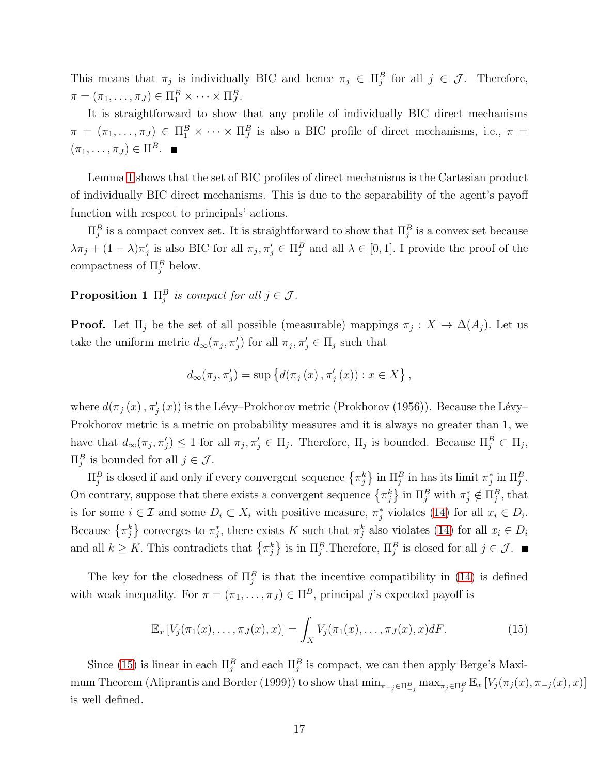This means that  $\pi_j$  is individually BIC and hence  $\pi_j \in \Pi_j^B$  for all  $j \in \mathcal{J}$ . Therefore,  $\pi = (\pi_1, \ldots, \pi_J) \in \Pi_1^B \times \cdots \times \Pi_J^B.$ 

It is straightforward to show that any profile of individually BIC direct mechanisms  $\pi = (\pi_1, \ldots, \pi_J) \in \Pi_1^B \times \cdots \times \Pi_J^B$  is also a BIC profile of direct mechanisms, i.e.,  $\pi =$  $(\pi_1, \ldots, \pi_J) \in \Pi^B$ .

Lemma [1](#page-15-0) shows that the set of BIC profiles of direct mechanisms is the Cartesian product of individually BIC direct mechanisms. This is due to the separability of the agent's payoff function with respect to principals' actions.

 $\Pi_j^B$  is a compact convex set. It is straightforward to show that  $\Pi_j^B$  is a convex set because  $\lambda \pi_j + (1 - \lambda) \pi'_j$  is also BIC for all  $\pi_j, \pi'_j \in \Pi_j^B$  and all  $\lambda \in [0, 1]$ . I provide the proof of the compactness of  $\Pi_j^B$  below.

**Proposition 1**  $\Pi_j^B$  is compact for all  $j \in \mathcal{J}$ .

**Proof.** Let  $\Pi_j$  be the set of all possible (measurable) mappings  $\pi_j : X \to \Delta(A_j)$ . Let us take the uniform metric  $d_{\infty}(\pi_j, \pi'_j)$  for all  $\pi_j, \pi'_j \in \Pi_j$  such that

$$
d_{\infty}(\pi_j, \pi'_j) = \sup \{ d(\pi_j(x), \pi'_j(x)) : x \in X \},
$$

where  $d(\pi_j(x), \pi'_j(x))$  is the Lévy–Prokhorov metric (Prokhorov (1956)). Because the Lévy– Prokhorov metric is a metric on probability measures and it is always no greater than 1, we have that  $d_{\infty}(\pi_j, \pi'_j) \leq 1$  for all  $\pi_j, \pi'_j \in \Pi_j$ . Therefore,  $\Pi_j$  is bounded. Because  $\Pi_j^B \subset \Pi_j$ ,  $\Pi_j^B$  is bounded for all  $j \in \mathcal{J}$ .

 $\Pi_j^B$  is closed if and only if every convergent sequence  $\{\pi_j^k\}$  in  $\Pi_j^B$  in has its limit  $\pi_j^*$  in  $\Pi_j^B$ . On contrary, suppose that there exists a convergent sequence  $\{\pi_j^k\}$  in  $\Pi_j^B$  with  $\pi_j^* \notin \Pi_j^B$ , that is for some  $i \in \mathcal{I}$  and some  $D_i \subset X_i$  with positive measure,  $\pi_j^*$  violates [\(14\)](#page-15-1) for all  $x_i \in D_i$ . Because  $\{\pi_j^k\}$  converges to  $\pi_j^*$ , there exists K such that  $\pi_j^k$  also violates [\(14\)](#page-15-1) for all  $x_i \in D_i$ and all  $k \geq K$ . This contradicts that  $\{\pi_j^k\}$  is in  $\Pi_j^B$ . Therefore,  $\Pi_j^B$  is closed for all  $j \in \mathcal{J}$ .

The key for the closedness of  $\Pi_j^B$  is that the incentive compatibility in [\(14\)](#page-15-1) is defined with weak inequality. For  $\pi = (\pi_1, \ldots, \pi_J) \in \Pi^B$ , principal j's expected payoff is

<span id="page-16-0"></span>
$$
\mathbb{E}_x\left[V_j(\pi_1(x),\ldots,\pi_J(x),x)\right] = \int_X V_j(\pi_1(x),\ldots,\pi_J(x),x)dF.
$$
 (15)

Since [\(15\)](#page-16-0) is linear in each  $\Pi_j^B$  and each  $\Pi_j^B$  is compact, we can then apply Berge's Maximum Theorem (Aliprantis and Border (1999)) to show that  $\min_{\pi_{-j}\in\Pi_{-j}^B} \max_{\pi_j\in\Pi_j^B} \mathbb{E}_x[V_j(\pi_j(x), \pi_{-j}(x), x)]$ is well defined.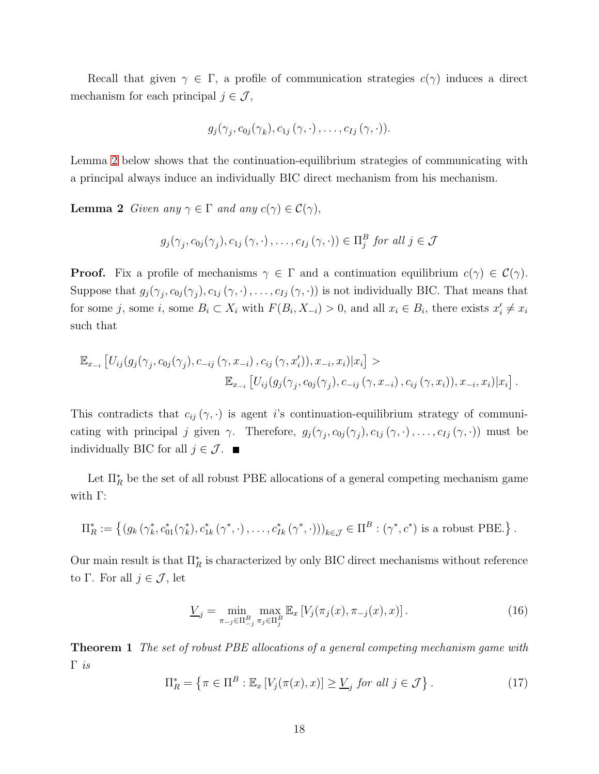Recall that given  $\gamma \in \Gamma$ , a profile of communication strategies  $c(\gamma)$  induces a direct mechanism for each principal  $j \in \mathcal{J}$ ,

$$
g_j(\gamma_j, c_{0j}(\gamma_k), c_{1j}(\gamma, \cdot), \ldots, c_{Ij}(\gamma, \cdot)).
$$

<span id="page-17-0"></span>Lemma [2](#page-17-0) below shows that the continuation-equilibrium strategies of communicating with a principal always induce an individually BIC direct mechanism from his mechanism.

**Lemma 2** *Given any*  $\gamma \in \Gamma$  *and any*  $c(\gamma) \in C(\gamma)$ ,

$$
g_j(\gamma_j, c_{0j}(\gamma_j), c_{1j}(\gamma, \cdot), \ldots, c_{Ij}(\gamma, \cdot)) \in \Pi_j^B
$$
 for all  $j \in \mathcal{J}$ 

**Proof.** Fix a profile of mechanisms  $\gamma \in \Gamma$  and a continuation equilibrium  $c(\gamma) \in \mathcal{C}(\gamma)$ . Suppose that  $g_j(\gamma_j, c_{0j}(\gamma_j), c_{1j}(\gamma, \cdot), \ldots, c_{Ij}(\gamma, \cdot))$  is not individually BIC. That means that for some j, some  $i$ , some  $B_i \subset X_i$  with  $F(B_i, X_{-i}) > 0$ , and all  $x_i \in B_i$ , there exists  $x'_i \neq x_i$ such that

$$
\mathbb{E}_{x_{-i}}\left[U_{ij}(g_j(\gamma_j, c_{0j}(\gamma_j), c_{-ij}(\gamma, x_{-i}), c_{ij}(\gamma, x'_i)), x_{-i}, x_i)|x_i\right] > \mathbb{E}_{x_{-i}}\left[U_{ij}(g_j(\gamma_j, c_{0j}(\gamma_j), c_{-ij}(\gamma, x_{-i}), c_{ij}(\gamma, x_i)), x_{-i}, x_i)|x_i\right].
$$

This contradicts that  $c_{ij}(\gamma, \cdot)$  is agent i's continuation-equilibrium strategy of communicating with principal j given  $\gamma$ . Therefore,  $g_j(\gamma_j, c_{0j}(\gamma_j), c_{1j}(\gamma, \cdot), \ldots, c_{Ij}(\gamma, \cdot))$  must be individually BIC for all  $j \in \mathcal{J}$ .

Let  $\Pi_R^*$  be the set of all robust PBE allocations of a general competing mechanism game with Γ:

$$
\Pi_R^* := \left\{ (g_k(\gamma_k^*, c_{01}^*(\gamma_k^*), c_{1k}^*(\gamma^*, \cdot), \dots, c_{Ik}^*(\gamma^*, \cdot)))_{k \in \mathcal{J}} \in \Pi^B : (\gamma^*, c^*) \text{ is a robust PBE.} \right\}.
$$

Our main result is that  $\Pi_R^*$  is characterized by only BIC direct mechanisms without reference to Γ. For all  $j \in \mathcal{J}$ , let

$$
\underline{V}_j = \min_{\pi_{-j} \in \Pi^B_{-j}} \max_{\pi_j \in \Pi^B_j} \mathbb{E}_x \left[ V_j(\pi_j(x), \pi_{-j}(x), x) \right]. \tag{16}
$$

Theorem 1 *The set of robust PBE allocations of a general competing mechanism game with* Γ *is*

<span id="page-17-1"></span>
$$
\Pi_R^* = \left\{ \pi \in \Pi^B : \mathbb{E}_x \left[ V_j(\pi(x), x) \right] \ge \underline{V}_j \text{ for all } j \in \mathcal{J} \right\}. \tag{17}
$$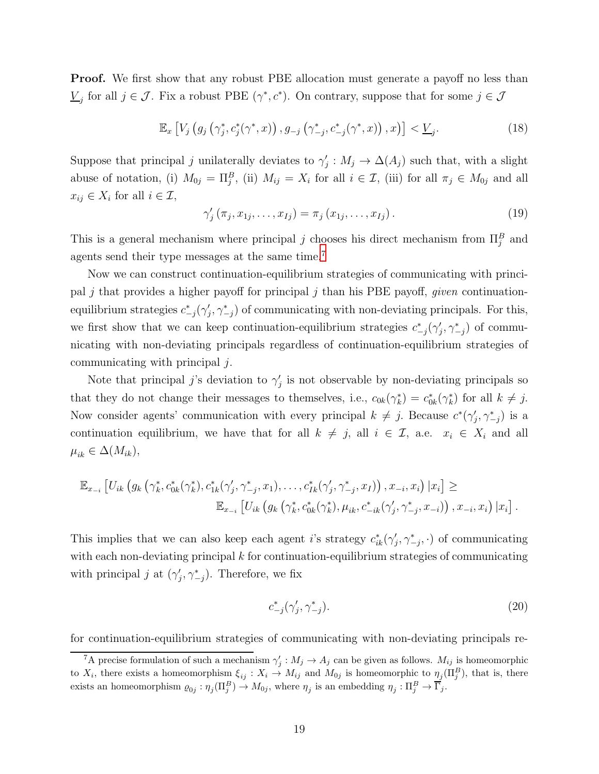**Proof.** We first show that any robust PBE allocation must generate a payoff no less than  $\underline{V}_j$  for all  $j \in \mathcal{J}$ . Fix a robust PBE  $(\gamma^*, c^*)$ . On contrary, suppose that for some  $j \in \mathcal{J}$ 

<span id="page-18-2"></span>
$$
\mathbb{E}_x \left[ V_j \left( g_j \left( \gamma_j^*, c_j^* (\gamma^*, x) \right), g_{-j} \left( \gamma_{-j}^*, c_{-j}^* (\gamma^*, x) \right), x \right) \right] < \underline{V}_j. \tag{18}
$$

Suppose that principal j unilaterally deviates to  $\gamma'_j : M_j \to \Delta(A_j)$  such that, with a slight abuse of notation, (i)  $M_{0j} = \Pi_j^B$ , (ii)  $M_{ij} = X_i$  for all  $i \in \mathcal{I}$ , (iii) for all  $\pi_j \in M_{0j}$  and all  $x_{ij} \in X_i$  for all  $i \in \mathcal{I}$ ,

$$
\gamma'_{j}(\pi_{j}, x_{1j}, \dots, x_{Ij}) = \pi_{j}(x_{1j}, \dots, x_{Ij}). \tag{19}
$$

This is a general mechanism where principal j chooses his direct mechanism from  $\Pi_j^B$  and agents send their type messages at the same time.[7](#page-18-0)

Now we can construct continuation-equilibrium strategies of communicating with principal j that provides a higher payoff for principal j than his PBE payoff, *given* continuationequilibrium strategies  $c_{-j}^*(\gamma'_j, \gamma_{-j}^*)$  of communicating with non-deviating principals. For this, we first show that we can keep continuation-equilibrium strategies  $c^*_{-j}(\gamma'_j, \gamma^*_{-j})$  of communicating with non-deviating principals regardless of continuation-equilibrium strategies of communicating with principal j.

Note that principal j's deviation to  $\gamma'_j$  is not observable by non-deviating principals so that they do not change their messages to themselves, i.e.,  $c_{0k}(\gamma_k^*) = c_{0k}^*(\gamma_k^*)$  for all  $k \neq j$ . Now consider agents' communication with every principal  $k \neq j$ . Because  $c^*(\gamma'_j, \gamma^*_{-j})$  is a continuation equilibrium, we have that for all  $k \neq j$ , all  $i \in \mathcal{I}$ , a.e.  $x_i \in X_i$  and all  $\mu_{ik} \in \Delta(M_{ik}),$ 

$$
\mathbb{E}_{x_{-i}}\left[U_{ik}\left(g_k\left(\gamma_k^*, c_{0k}^*(\gamma_k^*), c_{1k}^*(\gamma_j', \gamma_{-j}^*, x_1), \ldots, c_{1k}^*(\gamma_j', \gamma_{-j}^*, x_I)\right), x_{-i}, x_i\right) | x_i\right] \ge \mathbb{E}_{x_{-i}}\left[U_{ik}\left(g_k\left(\gamma_k^*, c_{0k}^*(\gamma_k^*), \mu_{ik}, c_{-ik}^*(\gamma_j', \gamma_{-j}^*, x_{-i})\right), x_{-i}, x_i\right) | x_i\right].
$$

This implies that we can also keep each agent i's strategy  $c_{ik}^*(\gamma'_j, \gamma_{-j}^*, \cdot)$  of communicating with each non-deviating principal  $k$  for continuation-equilibrium strategies of communicating with principal j at  $(\gamma'_j, \gamma^*_{-j})$ . Therefore, we fix

<span id="page-18-1"></span>
$$
c_{-j}^*(\gamma_j', \gamma_{-j}^*). \tag{20}
$$

for continuation-equilibrium strategies of communicating with non-deviating principals re-

<span id="page-18-0"></span><sup>&</sup>lt;sup>7</sup>A precise formulation of such a mechanism  $\gamma'_j : M_j \to A_j$  can be given as follows.  $M_{ij}$  is homeomorphic to  $X_i$ , there exists a homeomorphism  $\xi_{ij}: X_i \to M_{ij}$  and  $M_{0j}$  is homeomorphic to  $\eta_j(\Pi_j^B)$ , that is, there exists an homeomorphism  $\varrho_{0j} : \eta_j(\Pi_j^B) \to M_{0j}$ , where  $\eta_j$  is an embedding  $\eta_j : \Pi_j^B \to \overline{\Gamma}_j$ .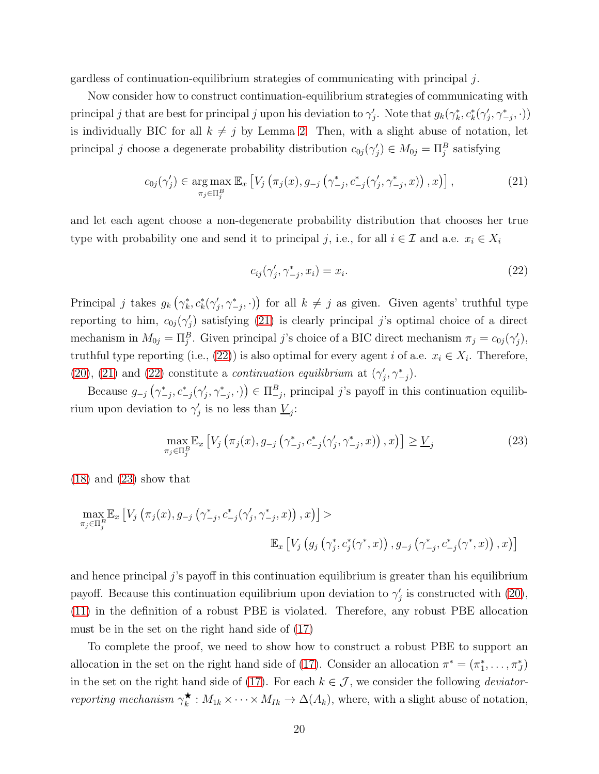gardless of continuation-equilibrium strategies of communicating with principal  $j$ .

Now consider how to construct continuation-equilibrium strategies of communicating with principal j that are best for principal j upon his deviation to  $\gamma'_j$ . Note that  $g_k(\gamma^*_k, c^*_k(\gamma'_j, \gamma^*_{-j}, \cdot))$ is individually BIC for all  $k \neq j$  by Lemma [2.](#page-17-0) Then, with a slight abuse of notation, let principal j choose a degenerate probability distribution  $c_{0j}(\gamma'_j) \in M_{0j} = \Pi_j^B$  satisfying

<span id="page-19-0"></span>
$$
c_{0j}(\gamma_j') \in \underset{\pi_j \in \Pi_j^B}{\arg \max} \mathbb{E}_x \left[ V_j \left( \pi_j(x), g_{-j} \left( \gamma_{-j}^*, c_{-j}^*(\gamma_j', \gamma_{-j}^*, x) \right), x \right) \right], \tag{21}
$$

and let each agent choose a non-degenerate probability distribution that chooses her true type with probability one and send it to principal j, i.e., for all  $i \in \mathcal{I}$  and a.e.  $x_i \in X_i$ 

<span id="page-19-1"></span>
$$
c_{ij}(\gamma_j', \gamma_{-j}^*, x_i) = x_i. \tag{22}
$$

Principal j takes  $g_k(\gamma_k^*, c_k^*(\gamma_j', \gamma_{-j}^*, \cdot))$  for all  $k \neq j$  as given. Given agents' truthful type reporting to him,  $c_{0j}(\gamma_j')$  satisfying [\(21\)](#page-19-0) is clearly principal j's optimal choice of a direct mechanism in  $M_{0j} = \Pi_j^B$ . Given principal j's choice of a BIC direct mechanism  $\pi_j = c_{0j}(\gamma_j')$ , truthful type reporting (i.e., [\(22\)](#page-19-1)) is also optimal for every agent i of a.e.  $x_i \in X_i$ . Therefore, [\(20\)](#page-18-1), [\(21\)](#page-19-0) and [\(22\)](#page-19-1) constitute a *continuation equilibrium* at  $(\gamma'_j, \gamma^*_{-j})$ .

Because  $g_{-j}(\gamma_{-j}^*, c_{-j}^*(\gamma_j', \gamma_{-j}^*, \cdot)) \in \Pi_{-j}^B$ , principal j's payoff in this continuation equilibrium upon deviation to  $\gamma'_j$  is no less than  $\underline{V}_j$ :

<span id="page-19-2"></span>
$$
\max_{\pi_j \in \Pi_j^B} \mathbb{E}_x \left[ V_j \left( \pi_j(x), g_{-j} \left( \gamma_{-j}^*, c_{-j}^* (\gamma_j', \gamma_{-j}^*, x) \right), x \right) \right] \ge \underline{V}_j \tag{23}
$$

[\(18\)](#page-18-2) and [\(23\)](#page-19-2) show that

$$
\max_{\pi_j \in \Pi_j^B} \mathbb{E}_x \left[ V_j \left( \pi_j(x), g_{-j} \left( \gamma_{-j}^*, c_{-j}^*(\gamma_j', \gamma_{-j}^*, x) \right), x \right) \right] > \mathbb{E}_x \left[ V_j \left( g_j \left( \gamma_j^*, c_j^*(\gamma^*, x) \right), g_{-j} \left( \gamma_{-j}^*, c_{-j}^*(\gamma^*, x) \right), x \right) \right]
$$

and hence principal  $j$ 's payoff in this continuation equilibrium is greater than his equilibrium payoff. Because this continuation equilibrium upon deviation to  $\gamma'_{j}$  is constructed with [\(20\)](#page-18-1), [\(11\)](#page-13-0) in the definition of a robust PBE is violated. Therefore, any robust PBE allocation must be in the set on the right hand side of [\(17\)](#page-17-1)

To complete the proof, we need to show how to construct a robust PBE to support an allocation in the set on the right hand side of [\(17\)](#page-17-1). Consider an allocation  $\pi^* = (\pi_1^*, \ldots, \pi_J^*)$ in the set on the right hand side of [\(17\)](#page-17-1). For each  $k \in \mathcal{J}$ , we consider the following *deviatorreporting mechanism*  $\gamma_k^{\star}$  $\mathbf{k} : M_{1k} \times \cdots \times M_{Ik} \to \Delta(A_k)$ , where, with a slight abuse of notation,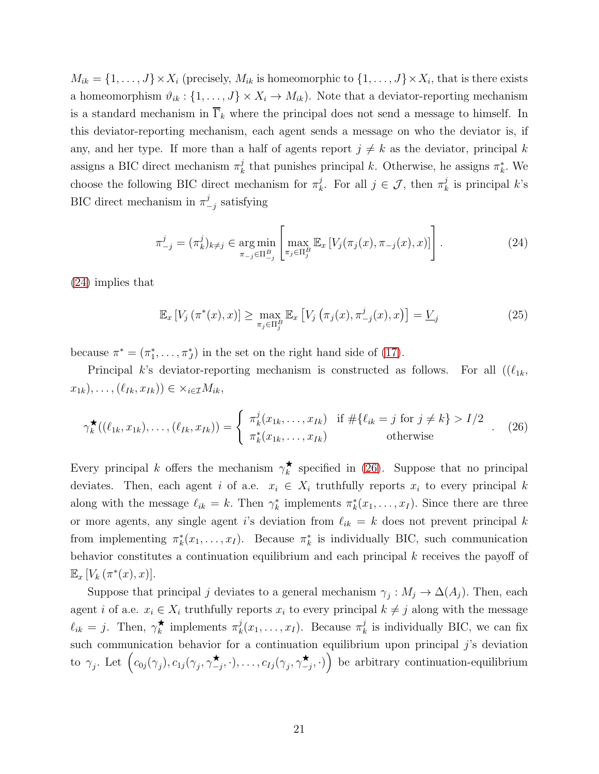$M_{ik} = \{1, \ldots, J\} \times X_i$  (precisely,  $M_{ik}$  is homeomorphic to  $\{1, \ldots, J\} \times X_i$ , that is there exists a homeomorphism  $\vartheta_{ik} : \{1, \ldots, J\} \times X_i \to M_{ik}$ . Note that a deviator-reporting mechanism is a standard mechanism in  $\overline{\Gamma}_k$  where the principal does not send a message to himself. In this deviator-reporting mechanism, each agent sends a message on who the deviator is, if any, and her type. If more than a half of agents report  $j \neq k$  as the deviator, principal k assigns a BIC direct mechanism  $\pi_k^j$  $\mu_k^j$  that punishes principal k. Otherwise, he assigns  $\pi_k^*$ . We choose the following BIC direct mechanism for  $\pi_k^j$  $j_k^j$ . For all  $j \in \mathcal{J}$ , then  $\pi_k^j$  $\frac{J}{k}$  is principal  $k$ 's BIC direct mechanism in  $\pi^j$  $\frac{j}{-j}$  satisfying

<span id="page-20-0"></span>
$$
\pi_{-j}^{j} = (\pi_{k}^{j})_{k \neq j} \in \underset{\pi_{-j} \in \Pi_{-j}^{B}}{\arg \min} \left[ \underset{\pi_{j} \in \Pi_{j}^{B}}{\max} \mathbb{E}_{x} \left[ V_{j}(\pi_{j}(x), \pi_{-j}(x), x) \right] \right]. \tag{24}
$$

[\(24\)](#page-20-0) implies that

<span id="page-20-2"></span>
$$
\mathbb{E}_x \left[ V_j \left( \pi^*(x), x \right) \right] \ge \max_{\pi_j \in \Pi_j^B} \mathbb{E}_x \left[ V_j \left( \pi_j(x), \pi_{-j}^j(x), x \right) \right] = \underline{V}_j \tag{25}
$$

because  $\pi^* = (\pi_1^*, \ldots, \pi_J^*)$  in the set on the right hand side of [\(17\)](#page-17-1).

Principal k's deviator-reporting mechanism is constructed as follows. For all  $((\ell_{1k},$  $(x_{1k}), \ldots, (\ell_{Ik}, x_{Ik})) \in \times_{i \in \mathcal{I}} M_{ik},$ 

<span id="page-20-1"></span>
$$
\gamma_k^{\bigstar}((\ell_{1k}, x_{1k}), \dots, (\ell_{Ik}, x_{Ik})) = \begin{cases} \pi_k^j(x_{1k}, \dots, x_{Ik}) & \text{if } \#\{\ell_{ik} = j \text{ for } j \neq k\} > I/2 \\ \pi_k^*(x_{1k}, \dots, x_{Ik}) & \text{otherwise} \end{cases} (26)
$$

Every principal k offers the mechanism  $\gamma_k^{\star}$  $\star$  specified in [\(26\)](#page-20-1). Suppose that no principal deviates. Then, each agent i of a.e.  $x_i \in X_i$  truthfully reports  $x_i$  to every principal k along with the message  $\ell_{ik} = k$ . Then  $\gamma_k^*$  implements  $\pi_k^*(x_1, \ldots, x_I)$ . Since there are three or more agents, any single agent i's deviation from  $\ell_{ik} = k$  does not prevent principal k from implementing  $\pi_k^*(x_1,\ldots,x_I)$ . Because  $\pi_k^*$  is individually BIC, such communication behavior constitutes a continuation equilibrium and each principal  $k$  receives the payoff of  $\mathbb{E}_x \left[ V_k \left( \pi^*(x), x \right) \right]$ .

Suppose that principal j deviates to a general mechanism  $\gamma_j: M_j \to \Delta(A_j)$ . Then, each agent i of a.e.  $x_i \in X_i$  truthfully reports  $x_i$  to every principal  $k \neq j$  along with the message  $\ell_{ik} = j$ . Then,  $\gamma_k^{\star}$  $\star_{k}$  implements  $\pi_{k}^{j}$  $x_k^j(x_1,\ldots,x_I)$ . Because  $\pi_k^j$  $\frac{d}{k}$  is individually BIC, we can fix such communication behavior for a continuation equilibrium upon principal  $j$ 's deviation to  $\gamma_j$ . Let  $\Big(c_{0j}(\gamma_j), c_{1j}(\gamma_j, \gamma^{\star})\Big)$  $(\star_{-j},\cdot),\ldots,c_{Ij}(\gamma_j,\gamma_{-j}^\bigstar)$  $\left( \begin{matrix} \star \\ -j, \cdot \end{matrix} \right)$  be arbitrary continuation-equilibrium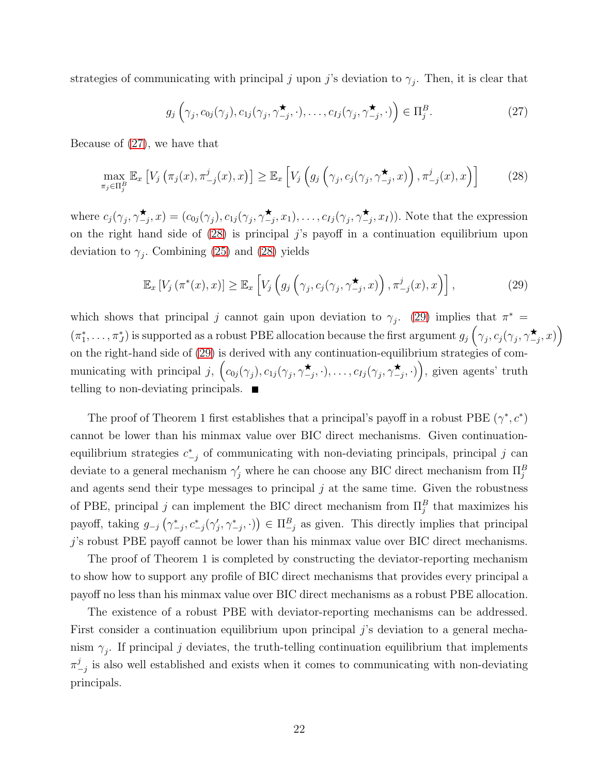strategies of communicating with principal j upon j's deviation to  $\gamma_j$ . Then, it is clear that

<span id="page-21-0"></span>
$$
g_j\left(\gamma_j, c_{0j}(\gamma_j), c_{1j}(\gamma_j, \gamma_{-j}^{\star}, \cdot), \dots, c_{Ij}(\gamma_j, \gamma_{-j}^{\star}, \cdot)\right) \in \Pi_j^B.
$$
 (27)

Because of [\(27\)](#page-21-0), we have that

<span id="page-21-1"></span>
$$
\max_{\pi_j \in \Pi_j^B} \mathbb{E}_x \left[ V_j \left( \pi_j(x), \pi^j_{-j}(x), x \right) \right] \geq \mathbb{E}_x \left[ V_j \left( g_j \left( \gamma_j, c_j(\gamma_j, \gamma^{\star}_{-j}, x) \right), \pi^j_{-j}(x), x \right) \right] \tag{28}
$$

where  $c_j(\gamma_j, \gamma^{\star})$  $(\star_{-j},x)=(c_{0j}(\gamma_j),c_{1j}(\gamma_j,\gamma_{-j}^{\star}))$  $(\star_{-j}, x_1), \ldots, c_{Ij}(\gamma_j, \gamma^{\star})$  $(\sum_{j}^{\bullet}, x_{I})$ . Note that the expression on the right hand side of  $(28)$  is principal j's payoff in a continuation equilibrium upon deviation to  $\gamma_j$ . Combining [\(25\)](#page-20-2) and [\(28\)](#page-21-1) yields

<span id="page-21-2"></span>
$$
\mathbb{E}_x \left[ V_j \left( \pi^*(x), x \right) \right] \ge \mathbb{E}_x \left[ V_j \left( g_j \left( \gamma_j, c_j(\gamma_j, \gamma_{-j}^{\star}, x) \right), \pi_{-j}^j(x), x \right) \right], \tag{29}
$$

which shows that principal j cannot gain upon deviation to  $\gamma_j$ . [\(29\)](#page-21-2) implies that  $\pi^*$  =  $(\pi_1^*,\ldots,\pi_J^*)$  is supported as a robust PBE allocation because the first argument  $g_j(\gamma_j,c_j(\gamma_j,\gamma)$  $\bigstar_{-j},x)\Big)$ on the right-hand side of [\(29\)](#page-21-2) is derived with any continuation-equilibrium strategies of communicating with principal j,  $\left(c_{0j}(\gamma_j), c_{1j}(\gamma_j, \gamma^{\star})\right)$  $(\star_{-j},\cdot),\ldots,c_{Ij}(\gamma_j,\gamma_{-j}^\bigstar)$  $(\star_{-j}, \cdot)$ , given agents' truth telling to non-deviating principals.  $\blacksquare$ 

The proof of Theorem 1 first establishes that a principal's payoff in a robust PBE  $(\gamma^*, c^*)$ cannot be lower than his minmax value over BIC direct mechanisms. Given continuationequilibrium strategies  $c_{-j}^*$  of communicating with non-deviating principals, principal j can deviate to a general mechanism  $\gamma'_j$  where he can choose any BIC direct mechanism from  $\Pi_j^B$ and agents send their type messages to principal  $j$  at the same time. Given the robustness of PBE, principal j can implement the BIC direct mechanism from  $\Pi_j^B$  that maximizes his payoff, taking  $g_{-j}(\gamma_{-j}^*, c_{-j}^*(\gamma_j', \gamma_{-j}^*, \cdot)) \in \Pi_{-j}^B$  as given. This directly implies that principal j's robust PBE payoff cannot be lower than his minmax value over BIC direct mechanisms.

The proof of Theorem 1 is completed by constructing the deviator-reporting mechanism to show how to support any profile of BIC direct mechanisms that provides every principal a payoff no less than his minmax value over BIC direct mechanisms as a robust PBE allocation.

The existence of a robust PBE with deviator-reporting mechanisms can be addressed. First consider a continuation equilibrium upon principal  $j$ 's deviation to a general mechanism  $\gamma_j$ . If principal j deviates, the truth-telling continuation equilibrium that implements  $\pi^j$  $\frac{\partial}{\partial y}$  is also well established and exists when it comes to communicating with non-deviating principals.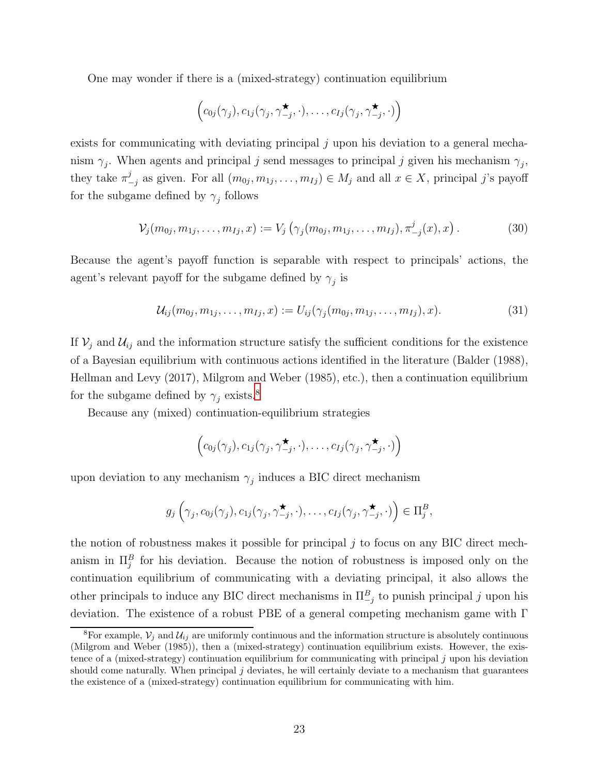One may wonder if there is a (mixed-strategy) continuation equilibrium

$$
\left(c_{0j}(\gamma_j), c_{1j}(\gamma_j, \gamma_{-j}^{\star}, \cdot), \ldots, c_{Ij}(\gamma_j, \gamma_{-j}^{\star}, \cdot)\right)
$$

exists for communicating with deviating principal  $j$  upon his deviation to a general mechanism  $\gamma_j$ . When agents and principal j send messages to principal j given his mechanism  $\gamma_j$ , they take  $\pi^j$  $\sum_{j=1}^{j}$  as given. For all  $(m_{0j}, m_{1j}, \ldots, m_{Ij}) \in M_j$  and all  $x \in X$ , principal j's payoff for the subgame defined by  $\gamma_j$  follows

<span id="page-22-1"></span>
$$
\mathcal{V}_j(m_{0j}, m_{1j}, \dots, m_{Ij}, x) := V_j\left(\gamma_j(m_{0j}, m_{1j}, \dots, m_{Ij}), \pi^j_{-j}(x), x\right). \tag{30}
$$

Because the agent's payoff function is separable with respect to principals' actions, the agent's relevant payoff for the subgame defined by  $\gamma_j$  is

$$
\mathcal{U}_{ij}(m_{0j}, m_{1j}, \dots, m_{Ij}, x) := U_{ij}(\gamma_j(m_{0j}, m_{1j}, \dots, m_{Ij}), x). \tag{31}
$$

If  $V_j$  and  $U_{ij}$  and the information structure satisfy the sufficient conditions for the existence of a Bayesian equilibrium with continuous actions identified in the literature (Balder (1988), Hellman and Levy (2017), Milgrom and Weber (1985), etc.), then a continuation equilibrium for the subgame defined by  $\gamma_j$  exists.<sup>[8](#page-22-0)</sup>

Because any (mixed) continuation-equilibrium strategies

$$
\left(c_{0j}(\gamma_j), c_{1j}(\gamma_j, \gamma_{-j}^{\star}, \cdot), \ldots, c_{Ij}(\gamma_j, \gamma_{-j}^{\star}, \cdot)\right)
$$

upon deviation to any mechanism  $\gamma_j$  induces a BIC direct mechanism

$$
g_j\left(\gamma_j, c_{0j}(\gamma_j), c_{1j}(\gamma_j, \gamma_{-j}^{\star}, \cdot), \ldots, c_{Ij}(\gamma_j, \gamma_{-j}^{\star}, \cdot)\right) \in \Pi_j^B,
$$

the notion of robustness makes it possible for principal  $j$  to focus on any BIC direct mechanism in  $\Pi_j^B$  for his deviation. Because the notion of robustness is imposed only on the continuation equilibrium of communicating with a deviating principal, it also allows the other principals to induce any BIC direct mechanisms in  $\Pi_{-j}^B$  to punish principal j upon his deviation. The existence of a robust PBE of a general competing mechanism game with Γ

<span id="page-22-0"></span><sup>&</sup>lt;sup>8</sup>For example,  $V_i$  and  $U_{ij}$  are uniformly continuous and the information structure is absolutely continuous (Milgrom and Weber (1985)), then a (mixed-strategy) continuation equilibrium exists. However, the existence of a (mixed-strategy) continuation equilibrium for communicating with principal j upon his deviation should come naturally. When principal j deviates, he will certainly deviate to a mechanism that guarantees the existence of a (mixed-strategy) continuation equilibrium for communicating with him.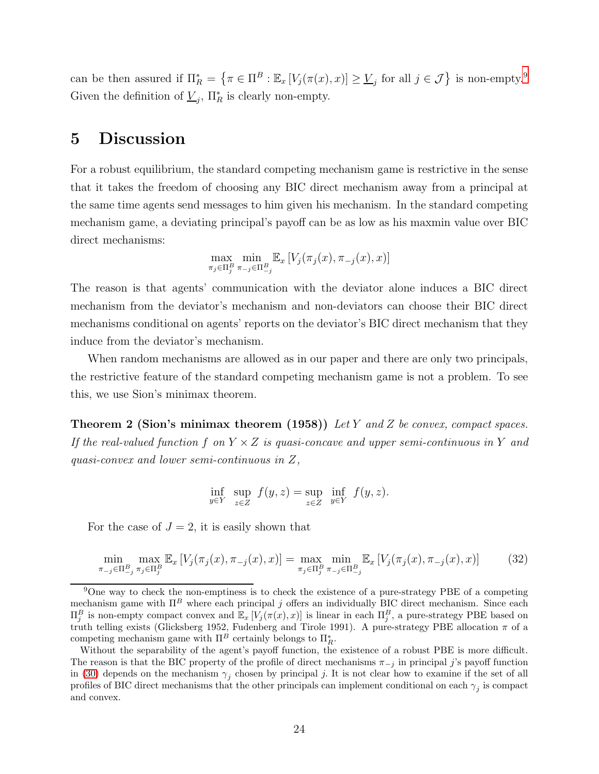can be then assured if  $\Pi_R^* = \{ \pi \in \Pi^B : \mathbb{E}_x [V_j(\pi(x), x)] \geq \underline{V}_j \text{ for all } j \in \mathcal{J} \}$  is non-empty.<sup>[9](#page-23-1)</sup> Given the definition of  $\underline{V}_j$ ,  $\Pi_R^*$  is clearly non-empty.

## <span id="page-23-0"></span>5 Discussion

For a robust equilibrium, the standard competing mechanism game is restrictive in the sense that it takes the freedom of choosing any BIC direct mechanism away from a principal at the same time agents send messages to him given his mechanism. In the standard competing mechanism game, a deviating principal's payoff can be as low as his maxmin value over BIC direct mechanisms:

$$
\max_{\pi_j \in \Pi_j^B} \min_{\pi_{-j} \in \Pi_{-j}^B} \mathbb{E}_x \left[ V_j(\pi_j(x), \pi_{-j}(x), x) \right]
$$

The reason is that agents' communication with the deviator alone induces a BIC direct mechanism from the deviator's mechanism and non-deviators can choose their BIC direct mechanisms conditional on agents' reports on the deviator's BIC direct mechanism that they induce from the deviator's mechanism.

When random mechanisms are allowed as in our paper and there are only two principals, the restrictive feature of the standard competing mechanism game is not a problem. To see this, we use Sion's minimax theorem.

Theorem 2 (Sion's minimax theorem (1958)) *Let* Y *and* Z *be convex, compact spaces. If the real-valued function* f on  $Y \times Z$  *is quasi-concave and upper semi-continuous in* Y *and quasi-convex and lower semi-continuous in* Z*,*

$$
\inf_{y \in Y} \sup_{z \in Z} f(y, z) = \sup_{z \in Z} \inf_{y \in Y} f(y, z).
$$

For the case of  $J = 2$ , it is easily shown that

<span id="page-23-2"></span>
$$
\min_{\pi_{-j}\in\Pi^{B}_{-j}} \max_{\pi_{j}\in\Pi^{B}_{j}} \mathbb{E}_{x} \left[ V_{j}(\pi_{j}(x), \pi_{-j}(x), x) \right] = \max_{\pi_{j}\in\Pi^{B}_{j}} \min_{\pi_{-j}\in\Pi^{B}_{-j}} \mathbb{E}_{x} \left[ V_{j}(\pi_{j}(x), \pi_{-j}(x), x) \right]
$$
(32)

<span id="page-23-1"></span><sup>&</sup>lt;sup>9</sup>One way to check the non-emptiness is to check the existence of a pure-strategy PBE of a competing mechanism game with  $\Pi^B$  where each principal j offers an individually BIC direct mechanism. Since each  $\Pi_j^B$  is non-empty compact convex and  $\mathbb{E}_x[V_j(\pi(x),x)]$  is linear in each  $\Pi_j^B$ , a pure-strategy PBE based on truth telling exists (Glicksberg 1952, Fudenberg and Tirole 1991). A pure-strategy PBE allocation  $\pi$  of a competing mechanism game with  $\Pi^B$  certainly belongs to  $\Pi_R^*$ .

Without the separability of the agent's payoff function, the existence of a robust PBE is more difficult. The reason is that the BIC property of the profile of direct mechanisms  $\pi_{-i}$  in principal j's payoff function in [\(30\)](#page-22-1) depends on the mechanism  $\gamma_j$  chosen by principal j. It is not clear how to examine if the set of all profiles of BIC direct mechanisms that the other principals can implement conditional on each  $\gamma_j$  is compact and convex.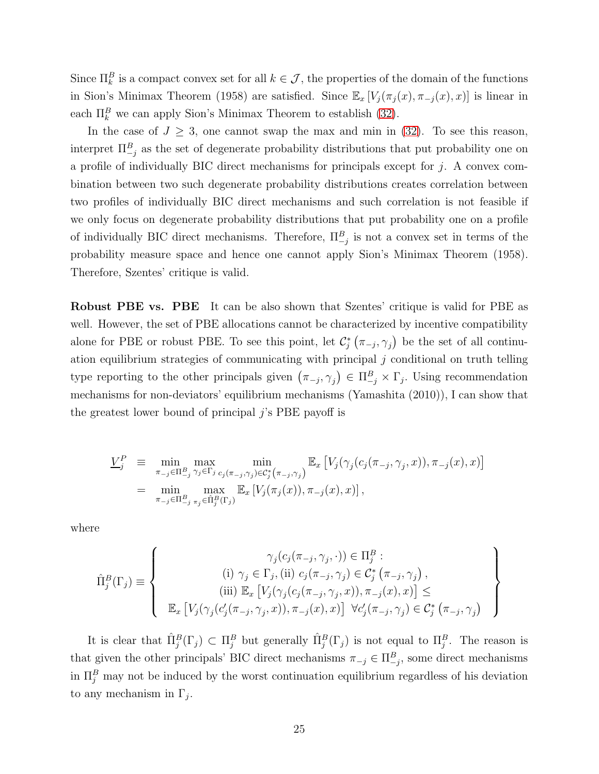Since  $\prod_k^B$  is a compact convex set for all  $k \in \mathcal{J}$ , the properties of the domain of the functions in Sion's Minimax Theorem (1958) are satisfied. Since  $\mathbb{E}_x[V_j(\pi_j(x), \pi_{-j}(x), x)]$  is linear in each  $\Pi_k^B$  we can apply Sion's Minimax Theorem to establish [\(32\)](#page-23-2).

In the case of  $J \geq 3$ , one cannot swap the max and min in [\(32\)](#page-23-2). To see this reason, interpret  $\Pi_{-j}^B$  as the set of degenerate probability distributions that put probability one on a profile of individually BIC direct mechanisms for principals except for  $j$ . A convex combination between two such degenerate probability distributions creates correlation between two profiles of individually BIC direct mechanisms and such correlation is not feasible if we only focus on degenerate probability distributions that put probability one on a profile of individually BIC direct mechanisms. Therefore,  $\Pi_{-j}^B$  is not a convex set in terms of the probability measure space and hence one cannot apply Sion's Minimax Theorem (1958). Therefore, Szentes' critique is valid.

Robust PBE vs. PBE It can be also shown that Szentes' critique is valid for PBE as well. However, the set of PBE allocations cannot be characterized by incentive compatibility alone for PBE or robust PBE. To see this point, let  $\mathcal{C}_{j}^{*}(\pi_{-j}, \gamma_{j})$  be the set of all continuation equilibrium strategies of communicating with principal  $j$  conditional on truth telling type reporting to the other principals given  $(\pi_{-j}, \gamma_j) \in \Pi_{-j}^B \times \Gamma_j$ . Using recommendation mechanisms for non-deviators' equilibrium mechanisms (Yamashita (2010)), I can show that the greatest lower bound of principal  $j$ 's PBE payoff is

$$
\underline{V}_j^P \equiv \min_{\substack{\pi_{-j} \in \Pi_{-j}^B \gamma_j \in \Gamma_j \\ \pi_{-j} \in \Pi_{-j}^B \pi_j \in \hat{\Pi}_j^B(\Gamma_j)}} \max_{c_j(\pi_{-j}, \gamma_j) \in \mathcal{C}_j^*(\pi_{-j}, \gamma_j)} \mathbb{E}_x \left[ V_j(\gamma_j(c_j(\pi_{-j}, \gamma_j, x)), \pi_{-j}(x), x) \right]
$$
\n
$$
= \min_{\substack{\pi_{-j} \in \Pi_{-j}^B \pi_j \in \hat{\Pi}_j^B(\Gamma_j)}} \max_{\substack{\pi_{-j} \in \Pi_j^B(\Gamma_j)}} \mathbb{E}_x \left[ V_j(\pi_j(x)), \pi_{-j}(x), x \right],
$$

where

$$
\hat{\Pi}_{j}^{B}(\Gamma_{j}) = \left\{\n\begin{array}{c}\n\gamma_{j}(c_{j}(\pi_{-j}, \gamma_{j}, \cdot)) \in \Pi_{j}^{B} : \\
(i) \ \gamma_{j} \in \Gamma_{j}, (ii) \ c_{j}(\pi_{-j}, \gamma_{j}) \in \mathcal{C}_{j}^{*}(\pi_{-j}, \gamma_{j}), \\
(iii) \ \mathbb{E}_{x} \left[V_{j}(\gamma_{j}(c_{j}(\pi_{-j}, \gamma_{j}, x)), \pi_{-j}(x), x)\right] \leq \\
\mathbb{E}_{x} \left[V_{j}(\gamma_{j}(c_{j}'(\pi_{-j}, \gamma_{j}, x)), \pi_{-j}(x), x)\right] \ \forall c_{j}'(\pi_{-j}, \gamma_{j}) \in \mathcal{C}_{j}^{*}(\pi_{-j}, \gamma_{j})\n\end{array}\n\right\}
$$

It is clear that  $\hat{\Pi}_j^B(\Gamma_j) \subset \Pi_j^B$  but generally  $\hat{\Pi}_j^B(\Gamma_j)$  is not equal to  $\Pi_j^B$ . The reason is that given the other principals' BIC direct mechanisms  $\pi_{-j} \in \Pi_{-j}^B$ , some direct mechanisms in  $\Pi_j^B$  may not be induced by the worst continuation equilibrium regardless of his deviation to any mechanism in  $\Gamma_j$ .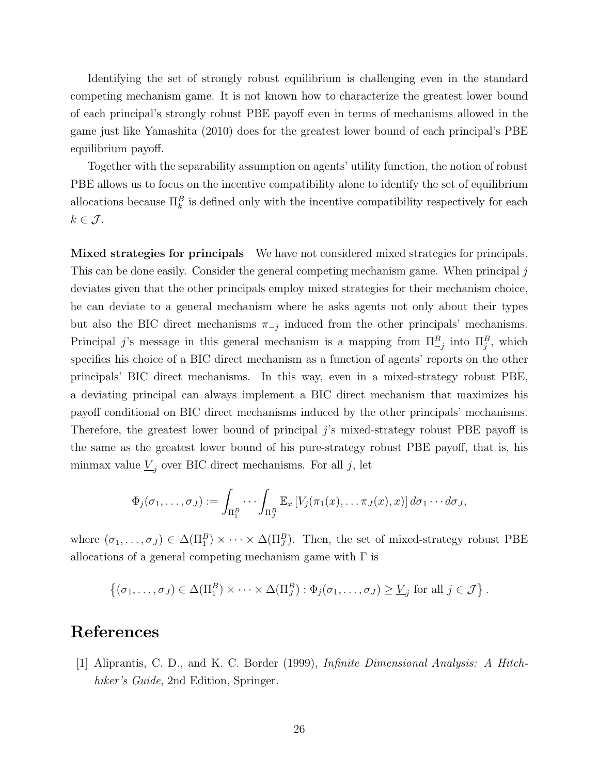Identifying the set of strongly robust equilibrium is challenging even in the standard competing mechanism game. It is not known how to characterize the greatest lower bound of each principal's strongly robust PBE payoff even in terms of mechanisms allowed in the game just like Yamashita (2010) does for the greatest lower bound of each principal's PBE equilibrium payoff.

Together with the separability assumption on agents' utility function, the notion of robust PBE allows us to focus on the incentive compatibility alone to identify the set of equilibrium allocations because  $\prod_k^B$  is defined only with the incentive compatibility respectively for each  $k \in \mathcal{J}$ .

Mixed strategies for principals We have not considered mixed strategies for principals. This can be done easily. Consider the general competing mechanism game. When principal j deviates given that the other principals employ mixed strategies for their mechanism choice, he can deviate to a general mechanism where he asks agents not only about their types but also the BIC direct mechanisms  $\pi_{-j}$  induced from the other principals' mechanisms. Principal j's message in this general mechanism is a mapping from  $\Pi_{-j}^B$  into  $\Pi_j^B$ , which specifies his choice of a BIC direct mechanism as a function of agents' reports on the other principals' BIC direct mechanisms. In this way, even in a mixed-strategy robust PBE, a deviating principal can always implement a BIC direct mechanism that maximizes his payoff conditional on BIC direct mechanisms induced by the other principals' mechanisms. Therefore, the greatest lower bound of principal j's mixed-strategy robust PBE payoff is the same as the greatest lower bound of his pure-strategy robust PBE payoff, that is, his minmax value  $\underline{V}_j$  over BIC direct mechanisms. For all j, let

$$
\Phi_j(\sigma_1,\ldots,\sigma_J):=\int_{\Pi_1^B}\cdots\int_{\Pi_J^B}\mathbb{E}_x\left[V_j(\pi_1(x),\ldots\pi_J(x),x)\right]d\sigma_1\cdots d\sigma_J,
$$

where  $(\sigma_1,\ldots,\sigma_J)\in\Delta(\Pi_1^B)\times\cdots\times\Delta(\Pi_J^B)$ . Then, the set of mixed-strategy robust PBE allocations of a general competing mechanism game with  $\Gamma$  is

$$
\left\{(\sigma_1,\ldots,\sigma_J)\in\Delta(\Pi_1^B)\times\cdots\times\Delta(\Pi_J^B):\Phi_j(\sigma_1,\ldots,\sigma_J)\geq\underline{V}_j\text{ for all }j\in\mathcal{J}\right\}.
$$

## References

[1] Aliprantis, C. D., and K. C. Border (1999), *Infinite Dimensional Analysis: A Hitchhiker's Guide*, 2nd Edition, Springer.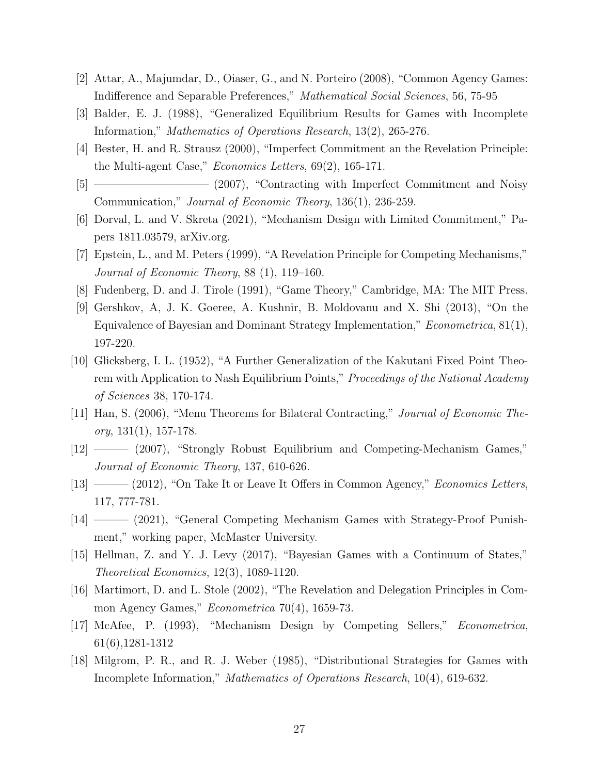- [2] Attar, A., Majumdar, D., Oiaser, G., and N. Porteiro (2008), "Common Agency Games: Indifference and Separable Preferences," *Mathematical Social Sciences*, 56, 75-95
- [3] Balder, E. J. (1988), "Generalized Equilibrium Results for Games with Incomplete Information," *Mathematics of Operations Research*, 13(2), 265-276.
- [4] Bester, H. and R. Strausz (2000), "Imperfect Commitment an the Revelation Principle: the Multi-agent Case," *Economics Letters*, 69(2), 165-171.
- [5] —————————— (2007), "Contracting with Imperfect Commitment and Noisy Communication," *Journal of Economic Theory*, 136(1), 236-259.
- [6] Dorval, L. and V. Skreta (2021), "Mechanism Design with Limited Commitment," Papers 1811.03579, arXiv.org.
- [7] Epstein, L., and M. Peters (1999), "A Revelation Principle for Competing Mechanisms," *Journal of Economic Theory*, 88 (1), 119–160.
- [8] Fudenberg, D. and J. Tirole (1991), "Game Theory," Cambridge, MA: The MIT Press.
- [9] Gershkov, A, J. K. Goeree, A. Kushnir, B. Moldovanu and X. Shi (2013), "On the Equivalence of Bayesian and Dominant Strategy Implementation," *Econometrica*, 81(1), 197-220.
- [10] Glicksberg, I. L. (1952), "A Further Generalization of the Kakutani Fixed Point Theorem with Application to Nash Equilibrium Points," *Proceedings of the National Academy of Sciences* 38, 170-174.
- [11] Han, S. (2006), "Menu Theorems for Bilateral Contracting," *Journal of Economic Theory*, 131(1), 157-178.
- [12] ——— (2007), "Strongly Robust Equilibrium and Competing-Mechanism Games," *Journal of Economic Theory*, 137, 610-626.
- [13] ——— (2012), "On Take It or Leave It Offers in Common Agency," *Economics Letters*, 117, 777-781.
- [14] ——— (2021), "General Competing Mechanism Games with Strategy-Proof Punishment," working paper, McMaster University.
- [15] Hellman, Z. and Y. J. Levy (2017), "Bayesian Games with a Continuum of States," *Theoretical Economics*, 12(3), 1089-1120.
- [16] Martimort, D. and L. Stole (2002), "The Revelation and Delegation Principles in Common Agency Games," *Econometrica* 70(4), 1659-73.
- [17] McAfee, P. (1993), "Mechanism Design by Competing Sellers," *Econometrica*, 61(6),1281-1312
- [18] Milgrom, P. R., and R. J. Weber (1985), "Distributional Strategies for Games with Incomplete Information," *Mathematics of Operations Research*, 10(4), 619-632.